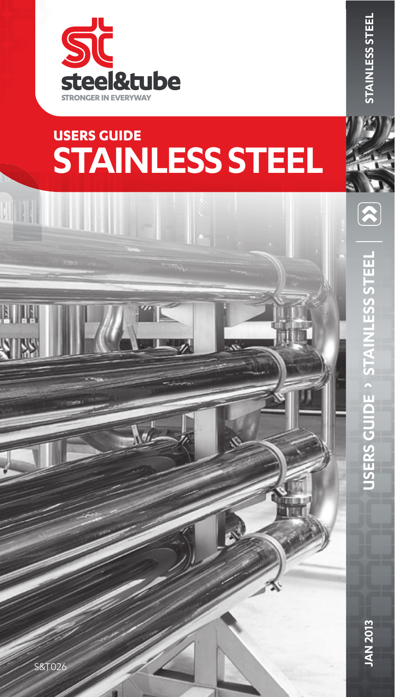

**MILL** 

VIW

# **STAINLESS STEEL USERS GUIDE**

**USERS GUIDE STAINLESS STEEL**

**USERS GUIDE** 

**STAINLESS STEEL** 

**JAN 2013**

**JAN 2013** 

**STAINLESS STEEL**

**STAINLESS STEEL** 

 $\boxed{\mathbf{\widehat{x}}}$ 

 $8T026$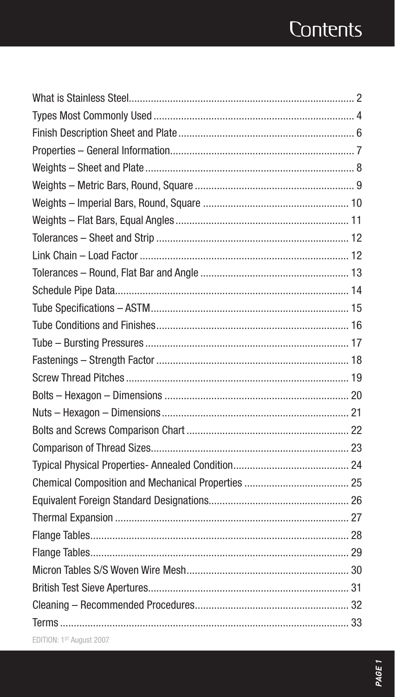## **Contents**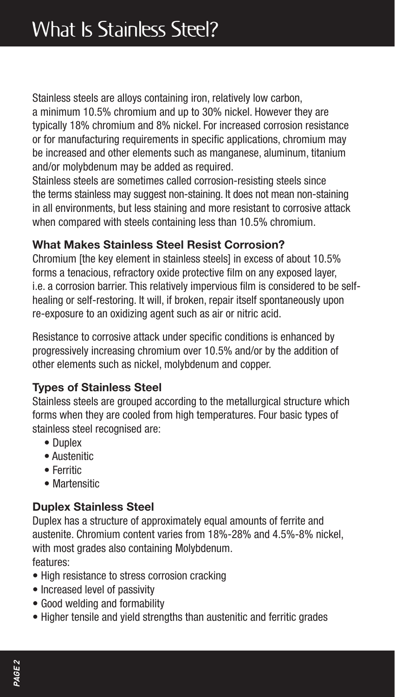Stainless steels are alloys containing iron, relatively low carbon,

a minimum 10.5% chromium and up to 30% nickel. However they are typically 18% chromium and 8% nickel. For increased corrosion resistance or for manufacturing requirements in specific applications, chromium may be increased and other elements such as manganese, aluminum, titanium and/or molybdenum may be added as required.

Stainless steels are sometimes called corrosion-resisting steels since the terms stainless may suggest non-staining. It does not mean non-staining in all environments, but less staining and more resistant to corrosive attack when compared with steels containing less than 10.5% chromium.

#### **What Makes Stainless Steel Resist Corrosion?**

Chromium [the key element in stainless steels] in excess of about 10.5% forms a tenacious, refractory oxide protective film on any exposed layer. i.e. a corrosion barrier. This relatively impervious film is considered to be selfhealing or self-restoring. It will, if broken, repair itself spontaneously upon re-exposure to an oxidizing agent such as air or nitric acid.

Resistance to corrosive attack under specific conditions is enhanced by progressively increasing chromium over 10.5% and/or by the addition of other elements such as nickel, molybdenum and copper.

## **Types of Stainless Steel**

Stainless steels are grouped according to the metallurgical structure which forms when they are cooled from high temperatures. Four basic types of stainless steel recognised are:

- Duplex
- Austenitic
- Ferritic
- Martensitic

## **Duplex Stainless Steel**

Duplex has a structure of approximately equal amounts of ferrite and austenite. Chromium content varies from 18%-28% and 4.5%-8% nickel, with most grades also containing Molybdenum. features:

- High resistance to stress corrosion cracking
- Increased level of passivity
- Good welding and formability
- Higher tensile and yield strengths than austenitic and ferritic grades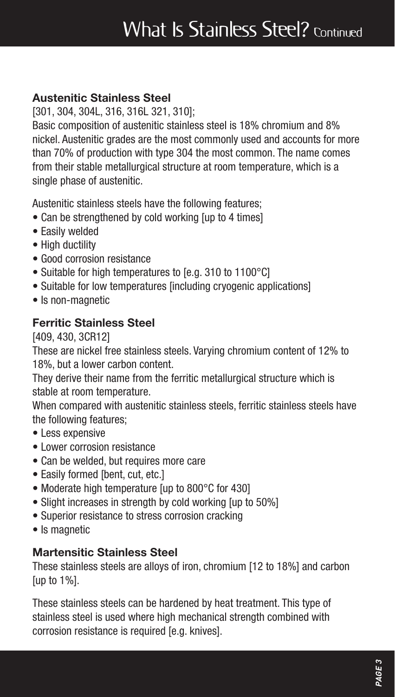## What Is Stainless Steel? Continued

#### **Austenitic Stainless Steel**

[301, 304, 304L, 316, 316L 321, 310];

Basic composition of austenitic stainless steel is 18% chromium and 8% nickel. Austenitic grades are the most commonly used and accounts for more than 70% of production with type 304 the most common. The name comes from their stable metallurgical structure at room temperature, which is a single phase of austenitic.

Austenitic stainless steels have the following features;

- Can be strengthened by cold working [up to 4 times]
- Easily welded
- High ductility
- Good corrosion resistance
- Suitable for high temperatures to [e.g. 310 to 1100°C]
- Suitable for low temperatures [including cryogenic applications]
- Is non-magnetic

#### **Ferritic Stainless Steel**

[409, 430, 3CR12]

These are nickel free stainless steels. Varying chromium content of 12% to 18%, but a lower carbon content.

They derive their name from the ferritic metallurgical structure which is stable at room temperature.

When compared with austenitic stainless steels, ferritic stainless steels have the following features;

- Less expensive
- Lower corrosion resistance
- Can be welded, but requires more care
- Fasily formed [bent, cut, etc.]
- Moderate high temperature [up to 800°C for 430]
- Slight increases in strength by cold working [up to 50%]
- Superior resistance to stress corrosion cracking
- Is magnetic

#### **Martensitic Stainless Steel**

These stainless steels are alloys of iron, chromium [12 to 18%] and carbon [up to 1%].

These stainless steels can be hardened by heat treatment. This type of stainless steel is used where high mechanical strength combined with corrosion resistance is required [e.g. knives].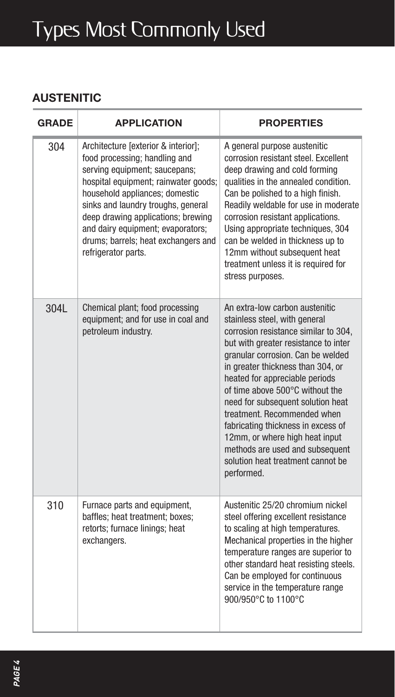# Types Most Commonly Used

#### **AUSTENITIC**

| <b>GRADE</b> | <b>APPLICATION</b>                                                                                                                                                                                                                                                                                                                                             | <b>PROPERTIES</b>                                                                                                                                                                                                                                                                                                                                                                                                                                                                                                                |
|--------------|----------------------------------------------------------------------------------------------------------------------------------------------------------------------------------------------------------------------------------------------------------------------------------------------------------------------------------------------------------------|----------------------------------------------------------------------------------------------------------------------------------------------------------------------------------------------------------------------------------------------------------------------------------------------------------------------------------------------------------------------------------------------------------------------------------------------------------------------------------------------------------------------------------|
| 304          | Architecture [exterior & interior];<br>food processing: handling and<br>serving equipment: saucepans:<br>hospital equipment; rainwater goods;<br>household appliances; domestic<br>sinks and laundry troughs, general<br>deep drawing applications; brewing<br>and dairy equipment: evaporators:<br>drums: barrels: heat exchangers and<br>refrigerator parts. | A general purpose austenitic<br>corrosion resistant steel. Excellent<br>deep drawing and cold forming<br>qualities in the annealed condition.<br>Can be polished to a high finish.<br>Readily weldable for use in moderate<br>corrosion resistant applications.<br>Using appropriate techniques, 304<br>can be welded in thickness up to<br>12mm without subsequent heat<br>treatment unless it is required for<br>stress purposes.                                                                                              |
| 3041         | Chemical plant; food processing<br>equipment; and for use in coal and<br>petroleum industry.                                                                                                                                                                                                                                                                   | An extra-low carbon austenitic<br>stainless steel, with general<br>corrosion resistance similar to 304,<br>but with greater resistance to inter<br>granular corrosion. Can be welded<br>in greater thickness than 304, or<br>heated for appreciable periods<br>of time above 500°C without the<br>need for subsequent solution heat<br>treatment. Recommended when<br>fabricating thickness in excess of<br>12mm, or where high heat input<br>methods are used and subsequent<br>solution heat treatment cannot be<br>performed. |
| 310          | Furnace parts and equipment,<br>baffles; heat treatment; boxes;<br>retorts; furnace linings; heat<br>exchangers.                                                                                                                                                                                                                                               | Austenitic 25/20 chromium nickel<br>steel offering excellent resistance<br>to scaling at high temperatures.<br>Mechanical properties in the higher<br>temperature ranges are superior to<br>other standard heat resisting steels.<br>Can be employed for continuous<br>service in the temperature range<br>900/950°C to 1100°C                                                                                                                                                                                                   |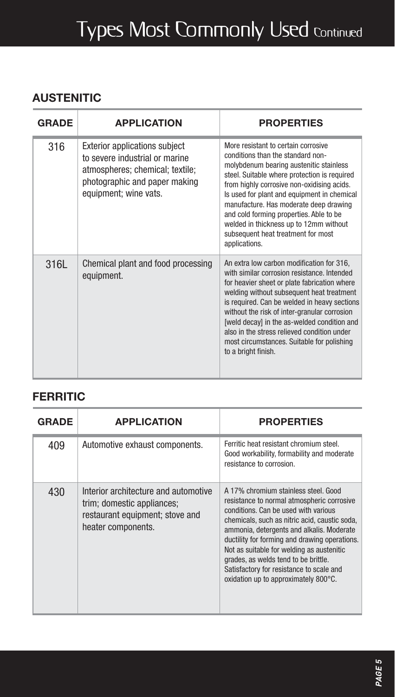# Types Most Commonly Used Continued

#### **AUSTENITIC**

| <b>GRADE</b> | <b>APPLICATION</b>                                                                                                                                                  | <b>PROPERTIES</b>                                                                                                                                                                                                                                                                                                                                                                                                                                        |
|--------------|---------------------------------------------------------------------------------------------------------------------------------------------------------------------|----------------------------------------------------------------------------------------------------------------------------------------------------------------------------------------------------------------------------------------------------------------------------------------------------------------------------------------------------------------------------------------------------------------------------------------------------------|
| 316          | <b>Exterior applications subject</b><br>to severe industrial or marine<br>atmospheres; chemical; textile;<br>photographic and paper making<br>equipment; wine vats. | More resistant to certain corrosive<br>conditions than the standard non-<br>molybdenum bearing austenitic stainless<br>steel. Suitable where protection is required<br>from highly corrosive non-oxidising acids.<br>Is used for plant and equipment in chemical<br>manufacture. Has moderate deep drawing<br>and cold forming properties. Able to be<br>welded in thickness up to 12mm without<br>subsequent heat treatment for most<br>applications.   |
| 316L         | Chemical plant and food processing<br>equipment.                                                                                                                    | An extra low carbon modification for 316,<br>with similar corrosion resistance. Intended<br>for heavier sheet or plate fabrication where<br>welding without subsequent heat treatment<br>is required. Can be welded in heavy sections<br>without the risk of inter-granular corrosion<br>[weld decay] in the as-welded condition and<br>also in the stress relieved condition under<br>most circumstances. Suitable for polishing<br>to a bright finish. |

#### **FERRITIC**

| <b>GRADE</b> | <b>APPLICATION</b>                                                                                                          | <b>PROPERTIES</b>                                                                                                                                                                                                                                                                                                                                                                                                                                  |
|--------------|-----------------------------------------------------------------------------------------------------------------------------|----------------------------------------------------------------------------------------------------------------------------------------------------------------------------------------------------------------------------------------------------------------------------------------------------------------------------------------------------------------------------------------------------------------------------------------------------|
| 409          | Automotive exhaust components.                                                                                              | Ferritic heat resistant chromium steel.<br>Good workability, formability and moderate<br>resistance to corrosion.                                                                                                                                                                                                                                                                                                                                  |
| 430          | Interior architecture and automotive<br>trim; domestic appliances;<br>restaurant equipment; stove and<br>heater components. | A 17% chromium stainless steel. Good<br>resistance to normal atmospheric corrosive<br>conditions. Can be used with various<br>chemicals, such as nitric acid, caustic soda,<br>ammonia, detergents and alkalis. Moderate<br>ductility for forming and drawing operations.<br>Not as suitable for welding as austenitic<br>grades, as welds tend to be brittle.<br>Satisfactory for resistance to scale and<br>oxidation up to approximately 800°C. |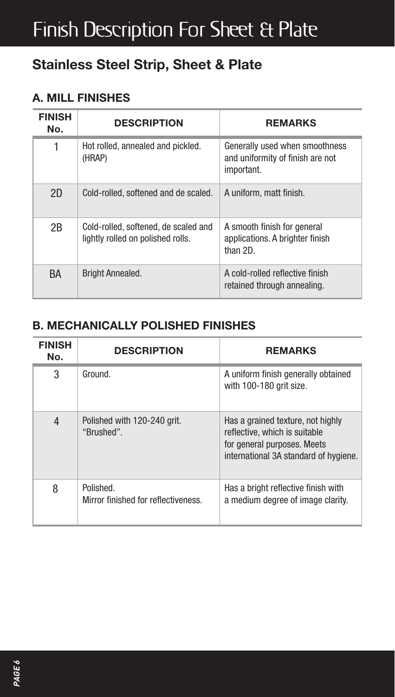## Finish Description For Sheet & Plate

## **Stainless Steel Strip, Sheet & Plate**

#### **A. MILL FINISHES**

| <b>FINISH</b><br>No. | <b>DESCRIPTION</b>                                                        | <b>REMARKS</b>                                                                   |
|----------------------|---------------------------------------------------------------------------|----------------------------------------------------------------------------------|
| 1                    | Hot rolled, annealed and pickled.<br>(HRAP)                               | Generally used when smoothness<br>and uniformity of finish are not<br>important. |
| 2D                   | Cold-rolled, softened and de scaled.                                      | A uniform, matt finish.                                                          |
| 2B                   | Cold-rolled, softened, de scaled and<br>lightly rolled on polished rolls. | A smooth finish for general<br>applications. A brighter finish<br>than 2D.       |
| BA                   | <b>Bright Annealed.</b>                                                   | A cold-rolled reflective finish<br>retained through annealing.                   |

#### **B. MECHANICALLY POLISHED FINISHES**

| <b>FINISH</b><br>No. | <b>DESCRIPTION</b>                               | <b>REMARKS</b>                                                                                                                             |
|----------------------|--------------------------------------------------|--------------------------------------------------------------------------------------------------------------------------------------------|
| 3                    | Ground.                                          | A uniform finish generally obtained<br>with 100-180 arit size.                                                                             |
| 4                    | Polished with 120-240 grit.<br>"Brushed".        | Has a grained texture, not highly<br>reflective, which is suitable<br>for general purposes. Meets<br>international 3A standard of hygiene. |
| 8                    | Polished.<br>Mirror finished for reflectiveness. | Has a bright reflective finish with<br>a medium degree of image clarity.                                                                   |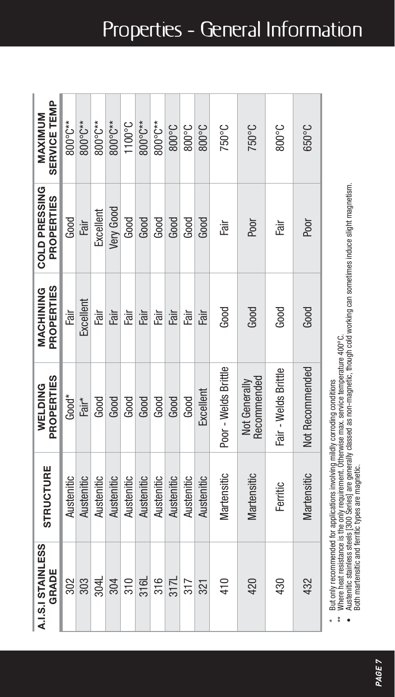| SERVICE TEMP<br><b>MAXIMUM</b>            | 800°C**     | 800°C**    | 800°C**    | 800°C**    | 1100°C     | 800°C**    | 800°C**    | 3°008      | 3°00°C     | 3°00°      | 750°C                | 750°C                        | 3°00°                | 050°C           |
|-------------------------------------------|-------------|------------|------------|------------|------------|------------|------------|------------|------------|------------|----------------------|------------------------------|----------------------|-----------------|
| <b>COLD PRESSING</b><br><b>PROPERTIES</b> | Good        | Fair       | Excellent  | Very Good  | Good       | Good       | Good       | Good       | Good       | Good       | Fair                 | Poor                         | Fair                 | Poor            |
| <b>PROPERTIES</b><br>MACHINING            | irg<br>Fair | Excellent  | ili<br>El  | Fair       | Fair       | Fair       | Fair       | Fair       | Fair       | Fair       | Good                 | Good                         | Good                 | Good            |
| PROPERTIES<br><b>WELDING</b>              | $Good*$     | Fair*      | Good       | Good       | Good       | Good       | Good       | Good       | Good       | Excellent  | Poor - Welds Brittle | Recommended<br>Not Generally | Fair - Welds Brittle | Not Recommended |
| <b>STRUCTURE</b>                          | Austenitic  | Austenitic | Austenitic | Austenitic | Austenitic | Austenitic | Austenitic | Austenitic | Austenitic | Austenitic | Martensitic          | Martensitic                  | Ferritic             | Martensitic     |
| A.I.S.I STAINLESS<br>GRADE                | 302         | 303        | 304L       | 304        | 310        | 316L       | 316        | 3171       | 317        | 321        | 410                  | 420                          | 430                  | 432             |

\* But only recommended for applications involving mildly corroding conditions

¥

Butonly recommended for applications involving mildly corroding conditions<br>Austenlice standes steels (30.0 Series) are generally corroding conditions = 400°C.<br>Austenlice standes steels (30.0 Series) are generally classed a • Austenitic stainless steels [300 Series] are generally classed as non-magnetic, though cold working can sometimes induce slight magnetism. \*\* Where heat resistance is the only requirement. Otherwise max. service temperature 400°C. Both martensitic and ferritic types are magnetic. Both martensitic and ferritic types are magnetic. $\ddot{\ast}$  $\ddot{\phantom{0}}$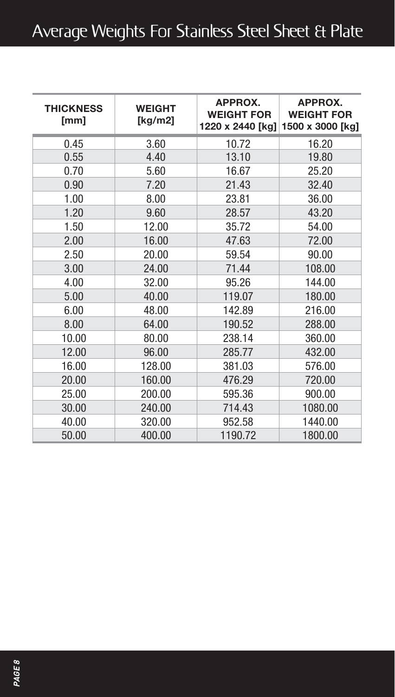## Average Weights For Stainless Steel Sheet & Plate

| <b>THICKNESS</b><br>[mm] | <b>WEIGHT</b><br>[kg/m2] | APPROX.<br><b>WEIGHT FOR</b><br>1220 x 2440 [kg] | APPROX.<br><b>WEIGHT FOR</b><br>1500 x 3000 [kg] |
|--------------------------|--------------------------|--------------------------------------------------|--------------------------------------------------|
| 0.45                     | 3.60                     | 10.72                                            | 16.20                                            |
| 0.55                     | 4.40                     | 13.10                                            | 19.80                                            |
| 0.70                     | 5.60                     | 16.67                                            | 25.20                                            |
| 0.90                     | 7.20                     | 21.43                                            | 32.40                                            |
| 1.00                     | 8.00                     | 23.81                                            | 36.00                                            |
| 1.20                     | 9.60                     | 28.57                                            | 43.20                                            |
| 1.50                     | 12.00                    | 35.72                                            | 54.00                                            |
| 2.00                     | 16.00                    | 47.63                                            | 72.00                                            |
| 2.50                     | 20.00                    | 59.54                                            | 90.00                                            |
| 3.00                     | 24.00                    | 71.44                                            | 108.00                                           |
| 4.00                     | 32.00                    | 95.26                                            | 144.00                                           |
| 5.00                     | 40.00                    | 119.07                                           | 180.00                                           |
| 6.00                     | 48.00                    | 142.89                                           | 216.00                                           |
| 8.00                     | 64.00                    | 190.52                                           | 288.00                                           |
| 10.00                    | 80.00                    | 238.14                                           | 360.00                                           |
| 12.00                    | 96.00                    | 285.77                                           | 432.00                                           |
| 16.00                    | 128.00                   | 381.03                                           | 576.00                                           |
| 20.00                    | 160.00                   | 476.29                                           | 720.00                                           |
| 25.00                    | 200.00                   | 595.36                                           | 900.00                                           |
| 30.00                    | 240.00                   | 714.43                                           | 1080.00                                          |
| 40.00                    | 320.00                   | 952.58                                           | 1440.00                                          |
| 50.00                    | 400.00                   | 1190.72                                          | 1800.00                                          |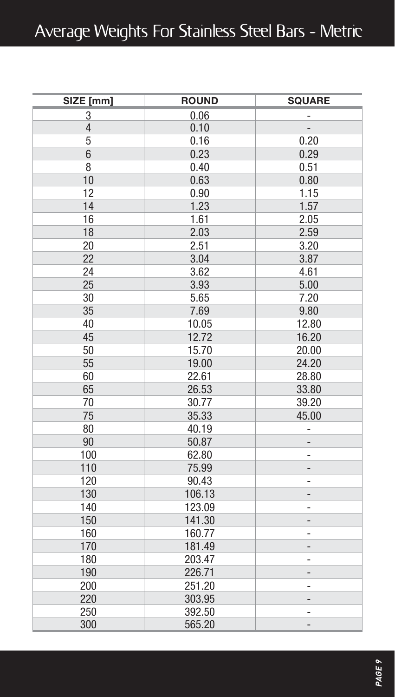| SIZE [mm]      | <b>ROUND</b> | <b>SQUARE</b>                |
|----------------|--------------|------------------------------|
| 3              | 0.06         |                              |
| $\overline{4}$ | 0.10         | $\overline{a}$               |
| 5              | 0.16         | 0.20                         |
| 6              | 0.23         | 0.29                         |
| 8              | 0.40         | 0.51                         |
| 10             | 0.63         | 0.80                         |
| 12             | 0.90         | 1.15                         |
| 14             | 1.23         | 1.57                         |
| 16             | 1.61         | 2.05                         |
| 18             | 2.03         | 2.59                         |
| 20             | 2.51         | 3.20                         |
| 22             | 3.04         | 3.87                         |
| 24             | 3.62         | 4.61                         |
| 25             | 3.93         | 5.00                         |
| 30             | 5.65         | 7.20                         |
| 35             | 7.69         | 9.80                         |
| 40             | 10.05        | 12.80                        |
| 45             | 12.72        | 16.20                        |
| 50             | 15.70        | 20.00                        |
| 55             | 19.00        | 24.20                        |
| 60             | 22.61        | 28.80                        |
| 65             | 26.53        | 33.80                        |
| 70             | 30.77        | 39.20                        |
| 75             | 35.33        | 45.00                        |
| 80             | 40.19        | ÷,                           |
| 90             | 50.87        | -                            |
| 100            | 62.80        | ÷,                           |
| 110            | 75.99        |                              |
| 120            | 90.43        |                              |
| 130            | 106.13       | $\qquad \qquad \blacksquare$ |
| 140            | 123.09       | ٠                            |
| 150            | 141.30       | -                            |
| 160            | 160.77       | -                            |
| 170            | 181.49       | -                            |
| 180            | 203.47       | ÷,                           |
| 190            | 226.71       | -                            |
| 200            | 251.20       | ۰                            |
| 220            | 303.95       | -                            |
| 250            | 392.50       | ٠                            |
| 300            | 565.20       | $\overline{a}$               |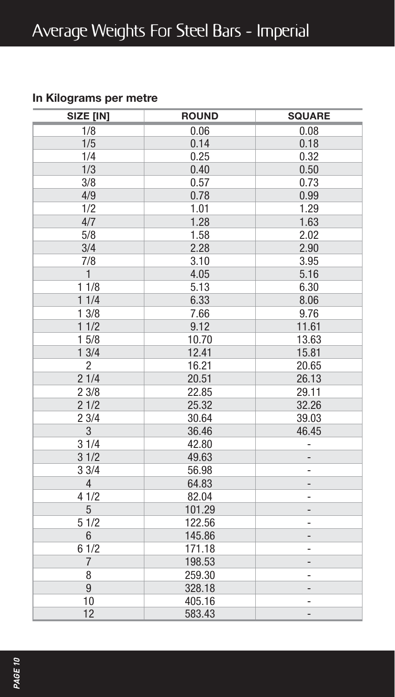#### **In Kilograms per metre**

| SIZE [IN]      | <b>ROUND</b> | <b>SQUARE</b>     |
|----------------|--------------|-------------------|
| 1/8            | 0.06         | 0.08              |
| 1/5            | 0.14         | 0.18              |
| 1/4            | 0.25         | 0.32              |
| 1/3            | 0.40         | 0.50              |
| 3/8            | 0.57         | 0.73              |
| 4/9            | 0.78         | 0.99              |
| 1/2            | 1.01         | 1.29              |
| 4/7            | 1.28         | 1.63              |
| 5/8            | 1.58         | 2.02              |
| 3/4            | 2.28         | 2.90              |
| 7/8            | 3.10         | 3.95              |
| $\mathbf{1}$   | 4.05         | 5.16              |
| 11/8           | 5.13         | 6.30              |
| 11/4           | 6.33         | 8.06              |
| 13/8           | 7.66         | 9.76              |
| 11/2           | 9.12         | 11.61             |
| 15/8           | 10.70        | 13.63             |
| 13/4           | 12.41        | 15.81             |
| $\overline{2}$ | 16.21        | 20.65             |
| 21/4           | 20.51        | 26.13             |
| 23/8           | 22.85        | 29.11             |
| 21/2           | 25.32        | 32.26             |
| 23/4           | 30.64        | 39.03             |
| 3              | 36.46        | 46.45             |
| 31/4           | 42.80        | ÷                 |
| 31/2           | 49.63        | -                 |
| 33/4           | 56.98        | -                 |
| $\overline{4}$ | 64.83        | -                 |
| 41/2           | 82.04        | -                 |
| 5              | 101.29       |                   |
| 51/2           | 122.56       | -                 |
| $6\phantom{1}$ | 145.86       | $\overline{a}$    |
| 61/2           | 171.18       | ۰                 |
| $\overline{7}$ | 198.53       | -                 |
| 8              | 259.30       | -                 |
| 9              | 328.18       | ٠                 |
| 10             | 405.16       | ÷                 |
| 12             | 583.43       | $\qquad \qquad -$ |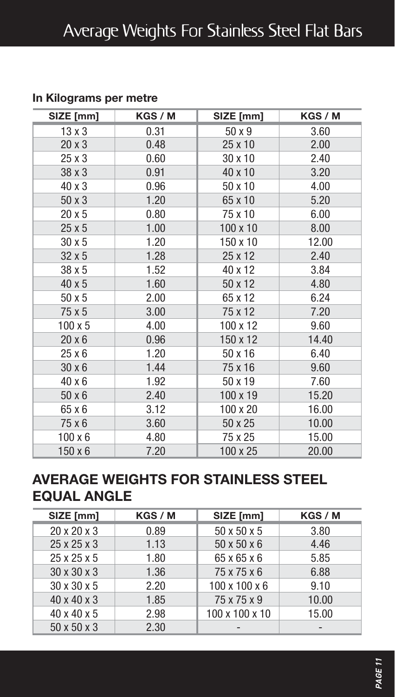| SIZE [mm]      | KGS / M | SIZE [mm]       | KGS / M |
|----------------|---------|-----------------|---------|
| $13 \times 3$  | 0.31    | 50 x 9          | 3.60    |
| $20 \times 3$  | 0.48    | 25 x 10         | 2.00    |
| 25 x 3         | 0.60    | 30 x 10         | 2.40    |
| 38 x 3         | 0.91    | 40 x 10         | 3.20    |
| 40 x 3         | 0.96    | 50 x 10         | 4.00    |
| 50 x 3         | 1.20    | 65 x 10         | 5.20    |
| 20 x 5         | 0.80    | 75 x 10         | 6.00    |
| 25x5           | 1.00    | $100 \times 10$ | 8.00    |
| 30 x 5         | 1.20    | 150 x 10        | 12.00   |
| $32 \times 5$  | 1.28    | 25 x 12         | 2.40    |
| 38 x 5         | 1.52    | 40 x 12         | 3.84    |
| 40 x 5         | 1.60    | 50 x 12         | 4.80    |
| 50 x 5         | 2.00    | 65 x 12         | 6.24    |
| 75 x 5         | 3.00    | 75 x 12         | 7.20    |
| $100 \times 5$ | 4.00    | 100 x 12        | 9.60    |
| $20 \times 6$  | 0.96    | 150 x 12        | 14.40   |
| 25 x 6         | 1.20    | 50 x 16         | 6.40    |
| 30 x 6         | 1.44    | 75 x 16         | 9.60    |
| 40 x 6         | 1.92    | 50 x 19         | 7.60    |
| 50 x 6         | 2.40    | 100 x 19        | 15.20   |
| 65 x 6         | 3.12    | 100 x 20        | 16.00   |
| 75 x 6         | 3.60    | 50 x 25         | 10.00   |
| $100 \times 6$ | 4.80    | 75 x 25         | 15.00   |
| $150 \times 6$ | 7.20    | 100 x 25        | 20.00   |

## **In Kilograms per metre**

## **AVERAGE WEIGHTS FOR STAINLESS STEEL EQUAL ANGLE**

| SIZE [mm]               | KGS / M | SIZE [mm]                 | KGS / M |
|-------------------------|---------|---------------------------|---------|
| 20 x 20 x 3             | 0.89    | 50 x 50 x 5               | 3.80    |
| $25 \times 25 \times 3$ | 1.13    | $50 \times 50 \times 6$   | 4.46    |
| $25 \times 25 \times 5$ | 1.80    | 65 x 65 x 6               | 5.85    |
| 30 x 30 x 3             | 1.36    | 75 x 75 x 6               | 6.88    |
| 30 x 30 x 5             | 2.20    | $100 \times 100 \times 6$ | 9.10    |
| 40 x 40 x 3             | 1.85    | 75 x 75 x 9               | 10.00   |
| $40 \times 40 \times 5$ | 2.98    | 100 x 100 x 10            | 15.00   |
| 50 x 50 x 3             | 2.30    |                           |         |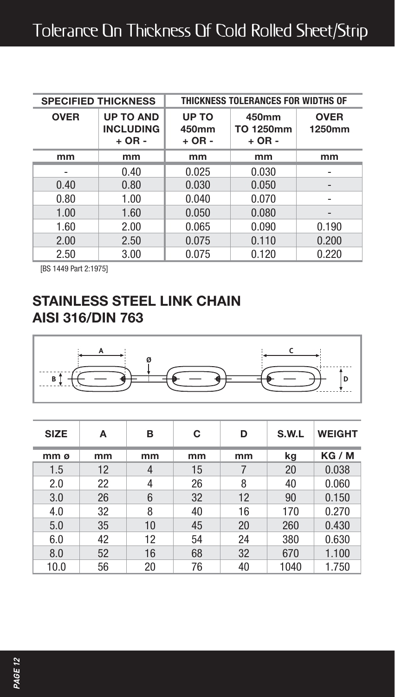|             | <b>SPECIFIED THICKNESS</b>                       | THICKNESS TOLERANCES FOR WIDTHS OF |                                |                       |  |  |
|-------------|--------------------------------------------------|------------------------------------|--------------------------------|-----------------------|--|--|
| <b>OVER</b> | <b>UP TO AND</b><br><b>INCLUDING</b><br>$+ OR -$ | UP TO<br>450mm<br>$+$ OR $-$       | 450mm<br>TO 1250mm<br>$+ OR -$ | <b>OVER</b><br>1250mm |  |  |
| mm          | mm                                               | mm                                 | mm                             | mm                    |  |  |
|             | 0.40                                             | 0.025                              | 0.030                          |                       |  |  |
| 0.40        | 0.80                                             | 0.030                              | 0.050                          | -                     |  |  |
| 0.80        | 1.00                                             | 0.040                              | 0.070                          | ۰                     |  |  |
| 1.00        | 1.60                                             | 0.050                              | 0.080                          |                       |  |  |
| 1.60        | 2.00                                             | 0.065                              | 0.090                          | 0.190                 |  |  |
| 2.00        | 2.50                                             | 0.075                              | 0.110                          | 0.200                 |  |  |
| 2.50        | 3.00                                             | 0.075                              | 0.120                          | 0.220                 |  |  |

[BS 1449 Part 2:1975]

## **STAINLESS STEEL LINK CHAIN AISI 316/DIN 763**



| <b>SIZE</b> | А  | в  | С  | D  | S.W.L | <b>WEIGHT</b> |
|-------------|----|----|----|----|-------|---------------|
| mm ø        | mm | mm | mm | mm | kg    | KG / M        |
| 1.5         | 12 | 4  | 15 |    | 20    | 0.038         |
| 2.0         | 22 | 4  | 26 | 8  | 40    | 0.060         |
| 3.0         | 26 | 6  | 32 | 12 | 90    | 0.150         |
| 4.0         | 32 | 8  | 40 | 16 | 170   | 0.270         |
| 5.0         | 35 | 10 | 45 | 20 | 260   | 0.430         |
| 6.0         | 42 | 12 | 54 | 24 | 380   | 0.630         |
| 8.0         | 52 | 16 | 68 | 32 | 670   | 1.100         |
| 10.0        | 56 | 20 | 76 | 40 | 1040  | 1.750         |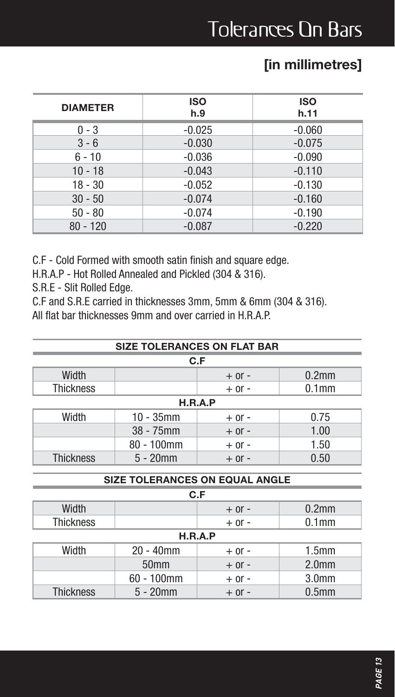## **[in millimetres]**

| <b>DIAMETER</b> | <b>ISO</b><br>h.9 | <b>ISO</b><br>h.11 |
|-----------------|-------------------|--------------------|
| $0 - 3$         | $-0.025$          | $-0.060$           |
| $3 - 6$         | $-0.030$          | $-0.075$           |
| $6 - 10$        | $-0.036$          | $-0.090$           |
| $10 - 18$       | $-0.043$          | $-0.110$           |
| $18 - 30$       | $-0.052$          | $-0.130$           |
| $30 - 50$       | $-0.074$          | $-0.160$           |
| $50 - 80$       | $-0.074$          | $-0.190$           |
| $80 - 120$      | $-0.087$          | $-0.220$           |

C.F - Cold Formed with smooth satin finish and square edge.

H.R.A.P - Hot Rolled Annealed and Pickled (304 & 316).

S.R.E - Slit Rolled Edge.

C.F and S.R.E carried in thicknesses 3mm, 5mm & 6mm (304 & 316). All flat bar thicknesses 9mm and over carried in H.R.A.P.

| <b>SIZE TOLERANCES ON FLAT BAR</b> |                                     |            |                   |  |  |  |
|------------------------------------|-------------------------------------|------------|-------------------|--|--|--|
|                                    |                                     | C.F        |                   |  |  |  |
| Width                              |                                     | $+$ or $-$ | $0.2$ mm          |  |  |  |
| <b>Thickness</b>                   |                                     | $+$ or $-$ | 0.1 <sub>mm</sub> |  |  |  |
| H.R.A.P                            |                                     |            |                   |  |  |  |
| Width                              | $10 - 35$ mm                        | $+$ or $-$ | 0.75              |  |  |  |
|                                    | $38 - 75$ mm                        | $+$ 0r -   | 1.00              |  |  |  |
|                                    | $80 - 100$ mm<br>1.50<br>$+$ or $-$ |            |                   |  |  |  |
| <b>Thickness</b>                   | $5 - 20$ mm                         | $+$ 0r -   | 0.50              |  |  |  |

#### **SIZE TOLERANCES ON EQUAL ANGLE**

| C.F              |               |            |                   |  |  |  |  |
|------------------|---------------|------------|-------------------|--|--|--|--|
| Width            |               | $+$ or $-$ | $0.2$ mm          |  |  |  |  |
| <b>Thickness</b> |               | $+$ or $-$ | 0.1 <sub>mm</sub> |  |  |  |  |
| H.R.A.P          |               |            |                   |  |  |  |  |
| Width            | $20 - 40$ mm  | $+$ or $-$ | 1.5 <sub>mm</sub> |  |  |  |  |
| 50 <sub>mm</sub> |               | $+$ or $-$ | 2.0 <sub>mm</sub> |  |  |  |  |
|                  | $60 - 100$ mm | $+$ or $-$ | 3.0 <sub>mm</sub> |  |  |  |  |
| <b>Thickness</b> | $5 - 20$ mm   | $+$ or $-$ | 0.5 <sub>mm</sub> |  |  |  |  |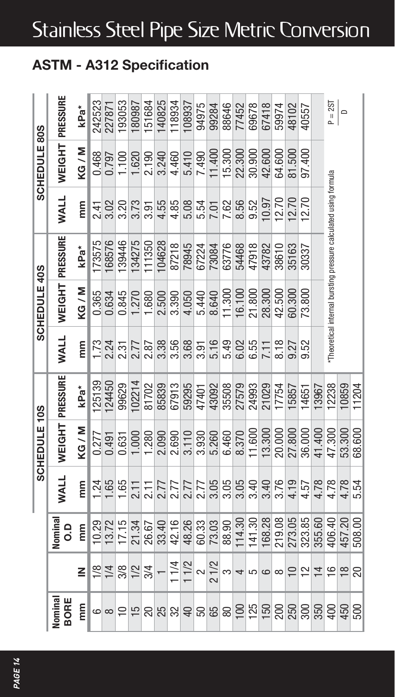## Stainless Steel Pipe Size Metric Conversion

## **ASTM - A312 Specification**

|                |                |              |             | SCHEDULE 10S |                 |             | SCHEDULE 40S  |                                                                  |             | SCHEDULE 80S  |           |
|----------------|----------------|--------------|-------------|--------------|-----------------|-------------|---------------|------------------------------------------------------------------|-------------|---------------|-----------|
| Nomina<br>BORE |                | Vomina<br>٥. | <b>WALL</b> |              | WEIGHT PRESSURE | <b>WALL</b> | <b>WEIGHT</b> | PRESSURE                                                         | <b>WALL</b> | <b>WEIGHT</b> | PRESSURE  |
| E              | ≧              | Ë            | E           | KG/M         | kPa*            | E           | KG/M          | kPa*                                                             | E           | KG/M          | kPa*      |
| 6              | $\frac{1}{8}$  | 10.29        | 1.24        | 0.277        | <b>25139</b>    | <b>1.73</b> | 0.365         | 173575                                                           | 2.41        | 0.468         | 242523    |
| $\infty$       | 1/4            | 13.72        | 1.65        | 0.491        | 124450          | 2.24        | 0.634         | 8576                                                             | 3.02        | 0.797         | 227871    |
| $\supseteq$    | $\frac{8}{12}$ | 17.15        | 1.65        | 0.631        | 99629           | 2.31        | 0.845         | 139446                                                           | 3.20        | 1.100         | 193053    |
| $\overline{5}$ |                | 21.34        | 2.11        | 1.000        | 102214          | 2.77        | 1.270         | 134275                                                           | 3.73        | 1.620         | 180987    |
| 20             | 3/4            | 26.67        | 2.11        | 1.280        | 81702           | 2.87        | 1.680         | 111350                                                           | 3.91        | 2.190         | 151684    |
| 25             |                | 33.40        | 2.77        | 2.090        | 85839           | 3.38        | 2.500         | 104628                                                           | 4.55        | 3.240         | 140825    |
| 32             | 11/4           | 42.16        | 2.77        | 2.690        | 67913           | 3.56        | 3.390         | 87218                                                            | 4.85        | 4.460         | 18934     |
| $\overline{a}$ | 11/2           | 48.26        | 2.77        | 3.110        | 59295           | 3.68        | 4.050         | 78945                                                            | 5.08        | 5.410         | 108937    |
| 50             | $\sim$         | 60.33        | 2.77        | 3.930        | 47401           | 3.91        | 5.440         | 67224                                                            | 5.54        | 7.490         | 94975     |
| 65             | 21/2           | 73.03        | 3.05        | 5.260        | 43092           | 5.16        | 8.640         | 73084                                                            | 7.01        | 11.400        | 99284     |
| 80             | S              | 88.90        | 3.05        | 6.460        | 35508           | 5.49        | 11.300        | 63776                                                            | 7.62        | 15.300        | 88646     |
| 100            | 4              | 114.30       | 3.05        | 8.370        | 27579           | 6.02        | 16.100        | 54468                                                            | 8.56        | 22.300        | 77452     |
| 125            | 5              | 141.30       | 3.40        | 11.600       | 24993           | 6.55        | 21.800        | 47918                                                            | 9.52        | 30,900        | 69678     |
| 150            | ဖ              | 168.28       | 3.40        | 13.300       | 21029           | 7.11        | 28.300        | 43782                                                            | 10.97       | 42.600        | 67418     |
| 200            | $\infty$       | 219.08       | 3.76        | 20.000       | 17754           | 8.18        | 42.500        | 38610                                                            | 12.70       | 64.600        | 59974     |
| 250            |                | 273.05       | 4.19        | 27,800       | 15857           | 9.27        | 60.300        | 35163                                                            | 12.70       | 81.500        | 48102     |
| 300            | $\tilde{c}$    | 323.85       | 4.57        | 36.000       | 14651           | 9.52        | 73.800        | 30337                                                            | 12.70       | 97.400        | 40557     |
| 350            | $\overline{4}$ | 355.60       | 4.78        | 41.400       | 3967            |             |               |                                                                  |             |               |           |
| 400            | $\frac{6}{1}$  | 406.40       | 4.78        | 47.300       | 2238            |             |               | "Theoretical internal bursting pressure calculated using formula |             |               | $P = 2ST$ |
| 450            | $\frac{8}{1}$  | 457.20       | 4.78        | 53.300       | 10859           |             |               |                                                                  |             |               | $\Box$    |
| 500            | 20             | 508.00       | 5.54        | 68.600       | 11204           |             |               |                                                                  |             |               |           |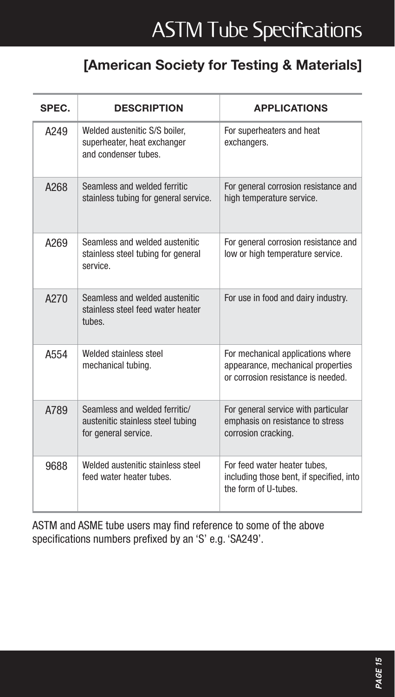# **ASTM Tube Specifications**

## **[American Society for Testing & Materials]**

| SPEC. | <b>DESCRIPTION</b>                                                                         | <b>APPLICATIONS</b>                                                                                         |
|-------|--------------------------------------------------------------------------------------------|-------------------------------------------------------------------------------------------------------------|
| A249  | Welded austenitic S/S boiler.<br>superheater, heat exchanger<br>and condenser tubes.       | For superheaters and heat<br>exchangers.                                                                    |
| A268  | Seamless and welded ferritic<br>stainless tubing for general service.                      | For general corrosion resistance and<br>high temperature service.                                           |
| A269  | Seamless and welded austenitic<br>stainless steel tubing for general<br>service            | For general corrosion resistance and<br>low or high temperature service.                                    |
| A270  | Seamless and welded austenitic<br>stainless steel feed water heater<br>tubes               | For use in food and dairy industry.                                                                         |
| A554  | Welded stainless steel<br>mechanical tubing.                                               | For mechanical applications where<br>appearance, mechanical properties<br>or corrosion resistance is needed |
| A789  | Seamless and welded ferritic/<br>austenitic stainless steel tubing<br>for general service. | For general service with particular<br>emphasis on resistance to stress<br>corrosion cracking.              |
| 9688  | Welded austenitic stainless steel<br>feed water heater tubes.                              | For feed water heater tubes.<br>including those bent, if specified, into<br>the form of U-tubes.            |

ASTM and ASME tube users may find reference to some of the above specifications numbers prefixed by an 'S' e.g. 'SA249'.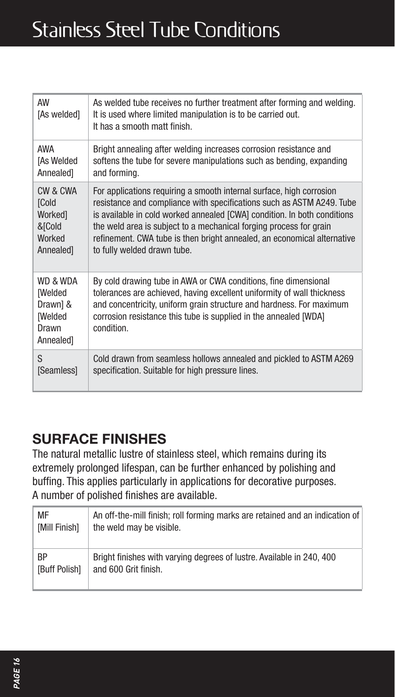## Stainless Steel Tube Conditions

| AW<br>[As welded]                                                              | As welded tube receives no further treatment after forming and welding.<br>It is used where limited manipulation is to be carried out.<br>It has a smooth matt finish.                                                                                                                              |
|--------------------------------------------------------------------------------|-----------------------------------------------------------------------------------------------------------------------------------------------------------------------------------------------------------------------------------------------------------------------------------------------------|
| AWA                                                                            | Bright annealing after welding increases corrosion resistance and                                                                                                                                                                                                                                   |
| [As Welded                                                                     | softens the tube for severe manipulations such as bending, expanding                                                                                                                                                                                                                                |
| Annealed]                                                                      | and forming.                                                                                                                                                                                                                                                                                        |
| CW & CWA                                                                       | For applications requiring a smooth internal surface, high corrosion                                                                                                                                                                                                                                |
| [Cold                                                                          | resistance and compliance with specifications such as ASTM A249. Tube                                                                                                                                                                                                                               |
| Workedl                                                                        | is available in cold worked annealed [CWA] condition. In both conditions                                                                                                                                                                                                                            |
| &[Cold                                                                         | the weld area is subject to a mechanical forging process for grain                                                                                                                                                                                                                                  |
| Worked                                                                         | refinement. CWA tube is then bright annealed, an economical alternative                                                                                                                                                                                                                             |
| Annealed]                                                                      | to fully welded drawn tube.                                                                                                                                                                                                                                                                         |
| WD & WDA<br><b>[Welded</b><br>Drawn] &<br><b>[Welded</b><br>Drawn<br>Annealed] | By cold drawing tube in AWA or CWA conditions, fine dimensional<br>tolerances are achieved, having excellent uniformity of wall thickness<br>and concentricity, uniform grain structure and hardness. For maximum<br>corrosion resistance this tube is supplied in the annealed [WDA]<br>condition. |
| S                                                                              | Cold drawn from seamless hollows annealed and pickled to ASTM A269                                                                                                                                                                                                                                  |
| [Seamless]                                                                     | specification. Suitable for high pressure lines.                                                                                                                                                                                                                                                    |

## **SURFACE FINISHES**

The natural metallic lustre of stainless steel, which remains during its extremely prolonged lifespan, can be further enhanced by polishing and buffing. This applies particularly in applications for decorative purposes. A number of polished finishes are available.

| MF                   | An off-the-mill finish: roll forming marks are retained and an indication of |
|----------------------|------------------------------------------------------------------------------|
| <b>IMill Finishl</b> | the weld may be visible.                                                     |
| <b>BP</b>            | Bright finishes with varying degrees of lustre. Available in 240, 400        |
| <b>IBuff Polish1</b> | and 600 Grit finish.                                                         |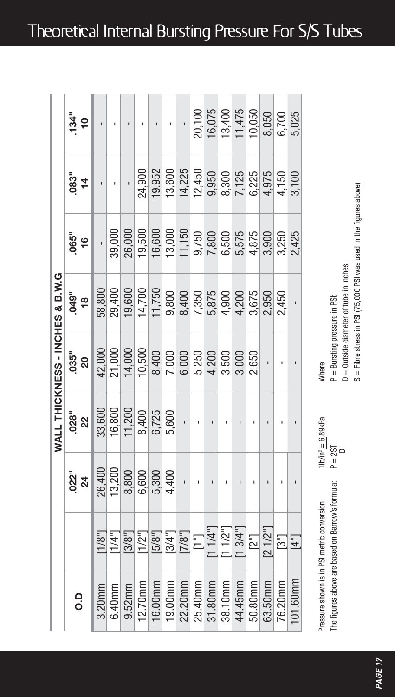|                                 | $134^{\circ}$       |        |                    |                                                                                                                        |         |                                          | ı                                                                                                                                                                                                                                                                                           |         |         |         |         |         |         | $\begin{array}{r} 100 \\ 20,100 \\ 16,075 \\ 13,400 \\ 11,475 \\ 10,050 \\ 6,6700 \\ 5,025 \end{array}$                              |         |          |
|---------------------------------|---------------------|--------|--------------------|------------------------------------------------------------------------------------------------------------------------|---------|------------------------------------------|---------------------------------------------------------------------------------------------------------------------------------------------------------------------------------------------------------------------------------------------------------------------------------------------|---------|---------|---------|---------|---------|---------|--------------------------------------------------------------------------------------------------------------------------------------|---------|----------|
|                                 | $-14$               |        |                    |                                                                                                                        | 24,900  | 19.952                                   | 13,600                                                                                                                                                                                                                                                                                      |         |         |         |         |         |         | $\begin{array}{cccc}\n 14,225 \\  12,450 \\  9,300 \\  8,300 \\  \hline\n 7,125 \\  6,225 \\  4,50 \\  4,50 \\  3,100\n \end{array}$ |         |          |
|                                 | 065"<br>16          |        | $\frac{1}{39,000}$ | 26,000                                                                                                                 |         |                                          | $\begin{array}{l} 9.500 \\ 19.600 \\ 19.750 \\ 19.750 \\ 19.750 \\ 19.750 \\ 19.750 \\ 19.750 \\ 19.750 \\ 19.750 \\ 19.750 \\ 19.750 \\ 19.750 \\ 19.750 \\ 19.750 \\ 19.750 \\ 19.750 \\ 19.750 \\ 19.750 \\ 19.750 \\ 19.750 \\ 19.750 \\ 19.750 \\ 19.750 \\ 19.750 \\ 19.750 \\ 19.75$ |         |         |         |         |         |         |                                                                                                                                      |         |          |
|                                 | 049"<br>18          | 58,800 | 29,400             |                                                                                                                        |         |                                          | $\begin{array}{l} 19,600 \\ 14,700 \\ 14,750 \\ 9,800 \\ 6,400 \\ 7,350 \\ 6,875 \\ 7,350 \\ 6,400 \\ 9,675 \\ \end{array}$                                                                                                                                                                 |         |         |         |         |         |         | 2,950<br>2,450                                                                                                                       |         |          |
| WALL THICKNESS - INCHES & B.W.G | .<br>86<br>80       | 42,000 | 21,000             | 14,000                                                                                                                 | 10,500  |                                          | $\begin{array}{c} 8,400 \\ 7,000 \\ 6,000 \\ 6,250 \\ 7,200 \\ 6,4,200 \\ 4,500 \\ 3,600 \\ \end{array}$                                                                                                                                                                                    |         |         |         |         |         | 2,650   |                                                                                                                                      |         |          |
|                                 | <u>ក្ខណ្ឌ</u>       | 33,600 |                    | $\begin{array}{r}\n 16,800 \\  \hline\n 11,200 \\  \hline\n 8,400 \\  \hline\n 6,725 \\  \hline\n 9,600\n \end{array}$ |         |                                          |                                                                                                                                                                                                                                                                                             | j.      |         |         |         |         |         |                                                                                                                                      |         |          |
|                                 | <u>ក្នុង</u><br>និង | 26,400 | 13,200             |                                                                                                                        |         | $8,800$<br>$6,800$<br>$6,300$<br>$4,400$ |                                                                                                                                                                                                                                                                                             |         |         |         |         |         |         |                                                                                                                                      |         |          |
|                                 |                     |        |                    |                                                                                                                        |         |                                          |                                                                                                                                                                                                                                                                                             |         |         |         |         |         |         |                                                                                                                                      |         |          |
|                                 | o.                  | 3.20mm | 6.40mm             | 9.52mm                                                                                                                 | 12.70mm | 16.00mm                                  | 19.00mm                                                                                                                                                                                                                                                                                     | 22.20mm | 25.40mm | 31.80mm | 38.10mm | 44.45mm | 50.80mm | 63.50mm                                                                                                                              | 76.20mm | 101.60mm |

| P = Bursting pressure in PSI; | $D = 0$ utside diameter of tube in inche- | S = Fibre stress in PSI (75,000 PSI was used in the figures above |
|-------------------------------|-------------------------------------------|-------------------------------------------------------------------|

bove)

Pressure shown is in PSI metric conversion 1lb/in2 = 6.89kPa The figures above are based on Barrow's formula:  $P = 2ST$ The figures above are based on Barrow's formula: Pressure shown is in PSI metric conversion

D

Where P = Bursting pressure in PSI;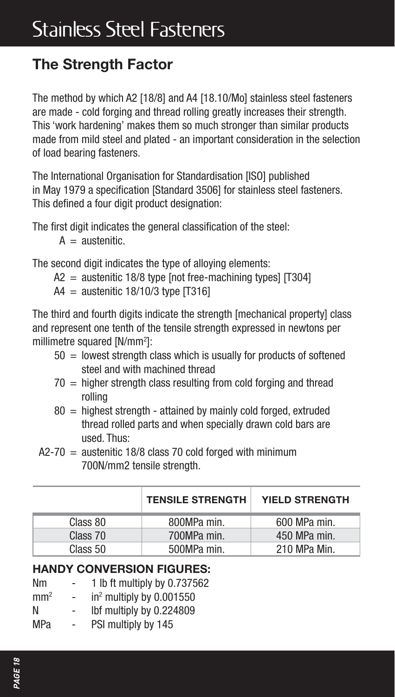## **The Strength Factor**

The method by which A2 [18/8] and A4 [18.10/Mo] stainless steel fasteners are made - cold forging and thread rolling greatly increases their strength. This 'work hardening' makes them so much stronger than similar products made from mild steel and plated - an important consideration in the selection of load bearing fasteners.

The International Organisation for Standardisation [ISO] published in May 1979 a specification [Standard 3506] for stainless steel fasteners. This defined a four digit product designation:

The first digit indicates the general classification of the steel:

 $A =$  austenitic.

The second digit indicates the type of alloying elements:

 $A2 =$  austenitic 18/8 type [not free-machining types]  $[T304]$ 

 $A4 =$  austenitic 18/10/3 type [T316]

The third and fourth digits indicate the strength [mechanical property] class and represent one tenth of the tensile strength expressed in newtons per millimetre squared [N/mm2 ]:

- $50 =$  lowest strength class which is usually for products of softened steel and with machined thread
- $70$  = higher strength class resulting from cold forging and thread rolling
- $80 =$  highest strength attained by mainly cold forged, extruded thread rolled parts and when specially drawn cold bars are used. Thus:
- $A2-70 =$  austenitic 18/8 class 70 cold forged with minimum 700N/mm2 tensile strength.

|          | <b>TENSILE STRENGTH</b> | <b>YIELD STRENGTH</b> |
|----------|-------------------------|-----------------------|
| Class 80 | 800MPa min.             | 600 MPa min.          |
| Class 70 | 700MPa min.             | 450 MPa min.          |
| Class 50 | 500MPa min.             | 210 MPa Min.          |

#### **HANDY CONVERSION FIGURES:**

- Nm 1 lb ft multiply by 0.737562
- $mm<sup>2</sup>$  $-$  in<sup>2</sup> multiply by 0.001550
- N lbf multiply by 0.224809
- MPa PSI multiply by 145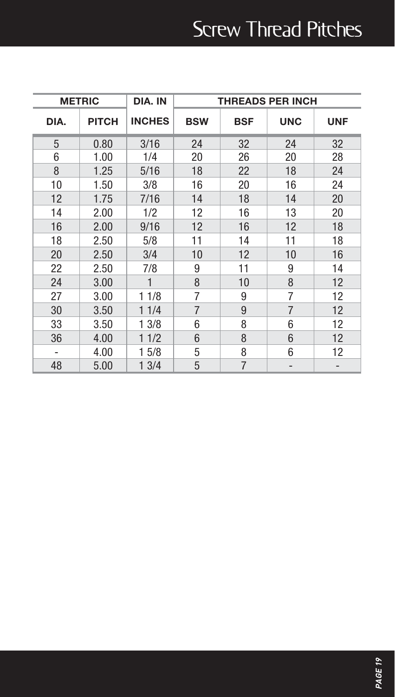# Screw Thread Pitches

|      | <b>METRIC</b> | DIA. IN       |            |                | <b>THREADS PER INCH</b> |            |  |  |  |
|------|---------------|---------------|------------|----------------|-------------------------|------------|--|--|--|
| DIA. | PITCH         | <b>INCHES</b> | <b>BSW</b> | <b>BSF</b>     | <b>UNC</b>              | <b>UNF</b> |  |  |  |
| 5    | 0.80          | 3/16          | 24         | 32             | 24                      | 32         |  |  |  |
| 6    | 1.00          | 1/4           | 20         | 26             | 20                      | 28         |  |  |  |
| 8    | 1.25          | 5/16          | 18         | 22             | 18                      | 24         |  |  |  |
| 10   | 1.50          | 3/8           | 16         | 20             | 16                      | 24         |  |  |  |
| 12   | 1.75          | 7/16          | 14         | 18             | 14                      | 20         |  |  |  |
| 14   | 2.00          | 1/2           | 12         | 16             | 13                      | 20         |  |  |  |
| 16   | 2.00          | 9/16          | 12         | 16             | 12                      | 18         |  |  |  |
| 18   | 2.50          | 5/8           | 11         | 14             | 11                      | 18         |  |  |  |
| 20   | 2.50          | 3/4           | 10         | 12             | 10                      | 16         |  |  |  |
| 22   | 2.50          | 7/8           | 9          | 11             | 9                       | 14         |  |  |  |
| 24   | 3.00          | $\mathbf{1}$  | 8          | 10             | 8                       | 12         |  |  |  |
| 27   | 3.00          | 11/8          | 7          | 9              | 7                       | 12         |  |  |  |
| 30   | 3.50          | 11/4          | 7          | 9              | 7                       | 12         |  |  |  |
| 33   | 3.50          | 1 3/8         | 6          | 8              | 6                       | 12         |  |  |  |
| 36   | 4.00          | 11/2          | 6          | 8              | 6                       | 12         |  |  |  |
|      | 4.00          | 15/8          | 5          | 8              | 6                       | 12         |  |  |  |
| 48   | 5.00          | 13/4          | 5          | $\overline{7}$ |                         |            |  |  |  |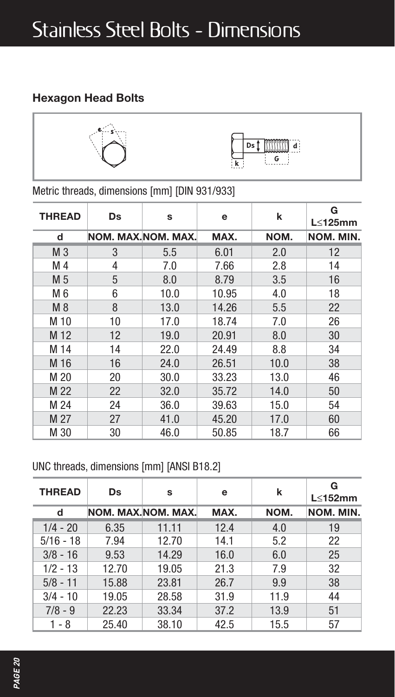## **Hexagon Head Bolts**



Metric threads, dimensions [mm] [DIN 931/933]

| <b>THREAD</b>  | Ds | S                  | е     | k    | G<br>$L < 125$ mm |  |  |  |
|----------------|----|--------------------|-------|------|-------------------|--|--|--|
| d              |    | NOM. MAX.NOM. MAX. | MAX.  | NOM. | NOM. MIN.         |  |  |  |
| M <sub>3</sub> | 3  | 5.5                | 6.01  | 2.0  | 12                |  |  |  |
| M 4            | 4  | 7.0                | 7.66  | 2.8  | 14                |  |  |  |
| M 5            | 5  | 8.0                | 8.79  | 3.5  | 16                |  |  |  |
| M 6            | 6  | 10.0               | 10.95 | 4.0  | 18                |  |  |  |
| M 8            | 8  | 13.0               | 14.26 | 5.5  | 22                |  |  |  |
| M 10           | 10 | 17.0               | 18.74 | 7.0  | 26                |  |  |  |
| M 12           | 12 | 19.0               | 20.91 | 8.0  | 30                |  |  |  |
| M 14           | 14 | 22.0               | 24.49 | 8.8  | 34                |  |  |  |
| M 16           | 16 | 24.0               | 26.51 | 10.0 | 38                |  |  |  |
| M 20           | 20 | 30.0               | 33.23 | 13.0 | 46                |  |  |  |
| M 22           | 22 | 32.0               | 35.72 | 14.0 | 50                |  |  |  |
| M 24           | 24 | 36.0               | 39.63 | 15.0 | 54                |  |  |  |
| M 27           | 27 | 41.0               | 45.20 | 17.0 | 60                |  |  |  |
| M 30           | 30 | 46.0               | 50.85 | 18.7 | 66                |  |  |  |

UNC threads, dimensions [mm] [ANSI B18.2]

| <b>THREAD</b> | <b>Ds</b> | s                  | e    | k    | G<br>$L < 152$ mm |  |  |
|---------------|-----------|--------------------|------|------|-------------------|--|--|
| d             |           | NOM. MAX.NOM. MAX. | MAX. | NOM. | NOM. MIN.         |  |  |
| $1/4 - 20$    | 6.35      | 11.11              | 12.4 | 4.0  | 19                |  |  |
| $5/16 - 18$   | 7.94      | 12.70              | 14.1 | 5.2  | 22                |  |  |
| $3/8 - 16$    | 9.53      | 14.29              | 16.0 | 6.0  | 25                |  |  |
| $1/2 - 13$    | 12.70     | 19.05              | 21.3 | 7.9  | 32                |  |  |
| $5/8 - 11$    | 15.88     | 23.81              | 26.7 | 9.9  | 38                |  |  |
| $3/4 - 10$    | 19.05     | 28.58              | 31.9 | 11.9 | 44                |  |  |
| $7/8 - 9$     | 22.23     | 33.34              | 37.2 | 13.9 | 51                |  |  |
| 1 - 8         | 25.40     | 38.10              | 42.5 | 15.5 | 57                |  |  |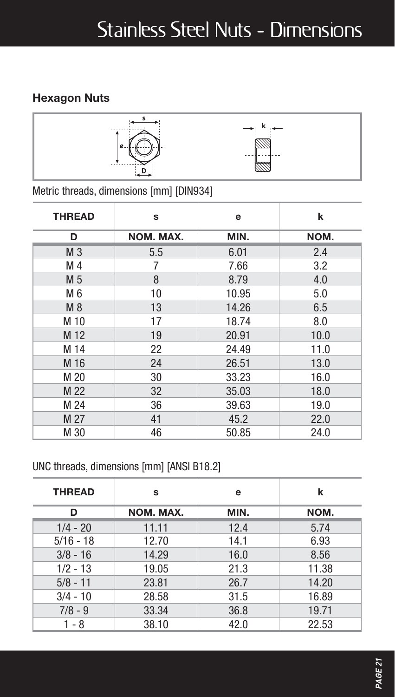## **Hexagon Nuts**



Metric threads, dimensions [mm] [DIN934]

| <b>THREAD</b>  | s         | e     | k    |  |  |  |  |
|----------------|-----------|-------|------|--|--|--|--|
| D              | NOM. MAX. | MIN.  | NOM. |  |  |  |  |
| M <sub>3</sub> | 5.5       | 6.01  | 2.4  |  |  |  |  |
| M 4            | 7         | 7.66  | 3.2  |  |  |  |  |
| M 5            | 8         | 8.79  | 4.0  |  |  |  |  |
| M 6            | 10        | 10.95 | 5.0  |  |  |  |  |
| M 8            | 13        | 14.26 | 6.5  |  |  |  |  |
| M 10           | 17        | 18.74 | 8.0  |  |  |  |  |
| M 12           | 19        | 20.91 | 10.0 |  |  |  |  |
| M 14           | 22        | 24.49 | 11.0 |  |  |  |  |
| M 16           | 24        | 26.51 | 13.0 |  |  |  |  |
| M 20           | 30        | 33.23 | 16.0 |  |  |  |  |
| M 22           | 32        | 35.03 | 18.0 |  |  |  |  |
| M 24           | 36        | 39.63 | 19.0 |  |  |  |  |
| M 27           | 41        | 45.2  | 22.0 |  |  |  |  |
| M 30           | 46        | 50.85 | 24.0 |  |  |  |  |

#### UNC threads, dimensions [mm] [ANSI B18.2]

| <b>THREAD</b> | s         | e    | k     |
|---------------|-----------|------|-------|
| D             | NOM. MAX. | MIN. | NOM.  |
| $1/4 - 20$    | 11.11     | 12.4 | 5.74  |
| $5/16 - 18$   | 12.70     | 14.1 | 6.93  |
| $3/8 - 16$    | 14.29     | 16.0 | 8.56  |
| $1/2 - 13$    | 19.05     | 21.3 | 11.38 |
| $5/8 - 11$    | 23.81     | 26.7 | 14.20 |
| $3/4 - 10$    | 28.58     | 31.5 | 16.89 |
| $7/8 - 9$     | 33.34     | 36.8 | 19.71 |
| $1 - 8$       | 38.10     | 42.0 | 22.53 |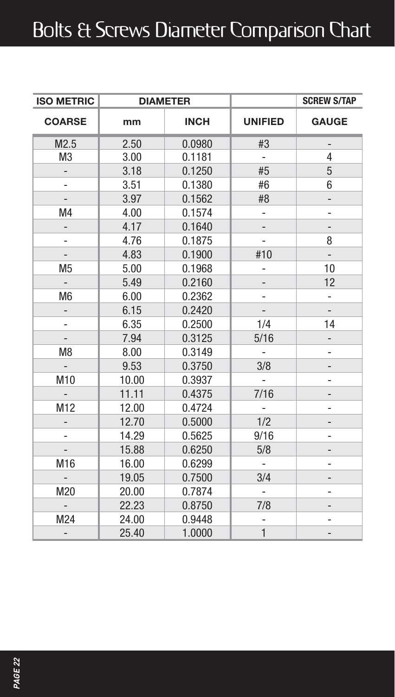# Bolts & Screws Diameter Comparison Chart

| <b>ISO METRIC</b>        | <b>DIAMETER</b> |             |                          | <b>SCREW S/TAP</b>       |
|--------------------------|-----------------|-------------|--------------------------|--------------------------|
| <b>COARSE</b>            | mm              | <b>INCH</b> | <b>UNIFIED</b>           | <b>GAUGE</b>             |
| M2.5                     | 2.50            | 0.0980      | #3                       |                          |
| M <sub>3</sub>           | 3.00            | 0.1181      | $\frac{1}{2}$            | $\overline{4}$           |
| $\overline{\phantom{a}}$ | 3.18            | 0.1250      | #5                       | 5                        |
|                          | 3.51            | 0.1380      | #6                       | 6                        |
|                          | 3.97            | 0.1562      | #8                       |                          |
| M4                       | 4.00            | 0.1574      |                          | ۰                        |
|                          | 4.17            | 0.1640      |                          |                          |
| -                        | 4.76            | 0.1875      |                          | 8                        |
| $\overline{\phantom{a}}$ | 4.83            | 0.1900      | #10                      | $\overline{\phantom{a}}$ |
| M <sub>5</sub>           | 5.00            | 0.1968      |                          | 10                       |
|                          | 5.49            | 0.2160      |                          | 12                       |
| M <sub>6</sub>           | 6.00            | 0.2362      |                          | $\frac{1}{2}$            |
|                          | 6.15            | 0.2420      |                          |                          |
| $\overline{\phantom{m}}$ | 6.35            | 0.2500      | 1/4                      | 14                       |
| $\overline{\phantom{a}}$ | 7.94            | 0.3125      | 5/16                     |                          |
| M <sub>8</sub>           | 8.00            | 0.3149      | $\overline{\phantom{a}}$ |                          |
| -                        | 9.53            | 0.3750      | 3/8                      | -                        |
| M10                      | 10.00           | 0.3937      |                          |                          |
|                          | 11.11           | 0.4375      | 7/16                     |                          |
| M12                      | 12.00           | 0.4724      |                          |                          |
|                          | 12.70           | 0.5000      | 1/2                      |                          |
|                          | 14.29           | 0.5625      | 9/16                     | -                        |
|                          | 15.88           | 0.6250      | 5/8                      |                          |
| M16                      | 16.00           | 0.6299      | $\frac{1}{2}$            | ٠                        |
|                          | 19.05           | 0.7500      | 3/4                      |                          |
| M20                      | 20.00           | 0.7874      | $\overline{a}$           |                          |
|                          | 22.23           | 0.8750      | 7/8                      |                          |
| M24                      | 24.00           | 0.9448      | -                        |                          |
| -                        | 25.40           | 1.0000      | $\mathbf{1}$             |                          |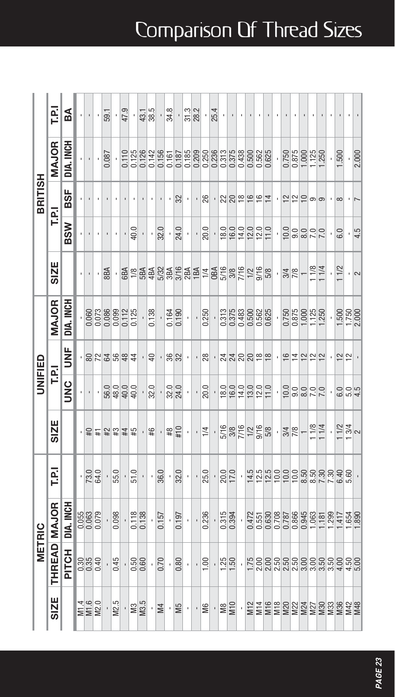|                | 야            | ã            |  |                         | $\overline{59}$                 | ٠                 | 47.9 | ٠                  | 43.1  | ł,    | 34.8             | ٠                  |      | $\frac{31.3}{28.2}$ | ł                                                                                                                                                                                                                                                                                                 | 25.4           |                                 |    |               |    |                |   |               | ı                 |    |      |                                      |                         |               |               |
|----------------|--------------|--------------|--|-------------------------|---------------------------------|-------------------|------|--------------------|-------|-------|------------------|--------------------|------|---------------------|---------------------------------------------------------------------------------------------------------------------------------------------------------------------------------------------------------------------------------------------------------------------------------------------------|----------------|---------------------------------|----|---------------|----|----------------|---|---------------|-------------------|----|------|--------------------------------------|-------------------------|---------------|---------------|
|                | MAJOR        | DIA, INCH    |  |                         | 0.087                           |                   |      |                    |       |       |                  |                    |      |                     |                                                                                                                                                                                                                                                                                                   |                |                                 |    |               |    |                | ï |               |                   |    |      | 0.875<br>0.875<br>0.975<br>1.250     | .500                    |               | 2.000         |
| BRITISH        |              | 5SF          |  |                         |                                 |                   |      |                    |       |       |                  | 32                 |      |                     | 26                                                                                                                                                                                                                                                                                                |                | 2280                            |    | $\frac{6}{1}$ | ءِ | $\overline{1}$ |   |               |                   |    | ග    | ග                                    | $\infty$                |               |               |
|                | FRI          | <b>BSW</b>   |  |                         |                                 |                   |      | 40.0               |       | 32.0  |                  | 24.0               |      |                     | 20.0                                                                                                                                                                                                                                                                                              |                |                                 |    |               |    |                | ł |               |                   |    |      | 298872                               | 6.0                     |               | 4.5           |
|                | <b>SIZE</b>  |              |  |                         | <b>ABR</b>                      |                   |      |                    |       |       |                  |                    |      |                     | $68\frac{88}{88}$ $68\frac{8}{88}$ $68\frac{6}{88}$ $68\frac{6}{88}$ $68\frac{6}{88}$ $68\frac{6}{88}$ $68\frac{6}{88}$ $68\frac{6}{88}$ $68\frac{6}{88}$ $68\frac{6}{88}$ $68\frac{6}{88}$ $68\frac{6}{88}$ $68\frac{6}{88}$ $68\frac{6}{88}$ $68\frac{6}{88}$ $68\frac{6}{88}$ $68\frac{6}{88}$ |                |                                 |    |               |    |                | ł | $\frac{3}{4}$ |                   |    | 11/8 | 11/4                                 | 11/2                    |               | $\frac{1}{2}$ |
|                | MAJOR        | DIA, INCH    |  |                         | 0062<br>00788<br>00080<br>00000 |                   |      |                    | 0.138 |       |                  | $0.164$<br>$0.190$ |      | ł                   | 0.250                                                                                                                                                                                                                                                                                             |                | 0375<br>037688<br>05568<br>0656 |    |               |    |                | ï |               |                   |    |      | 0.35<br>0.36<br>0.31<br>1.25<br>1.25 | 1.500<br>1.750<br>2.000 |               |               |
|                |              | š            |  |                         | 图 5 空 足 思 盘 生                   |                   |      |                    | ş     |       |                  | \$88               |      |                     | $^{8}$                                                                                                                                                                                                                                                                                            |                | 치치잉잉유효                          |    |               |    |                |   | ≌             | ⋣                 | 일일 |      | $\tilde{ }$                          | 의일                      |               |               |
| <b>DAIFIED</b> | ලි           | <b>UNC</b>   |  |                         | $-88900$                        |                   |      |                    | 32.0  |       | 32.0             |                    |      | ł                   | 20.0                                                                                                                                                                                                                                                                                              |                | 89998                           |    |               |    | 11.0           | ł |               |                   |    |      | 7.0                                  | 6.0                     | $\frac{0}{4}$ |               |
|                | SIZE         |              |  |                         | · - 홍 본 - 황 芯 著 용               |                   |      |                    | 笔     |       | $\frac{42}{110}$ |                    | t    | ٠                   | $\frac{1}{4}$                                                                                                                                                                                                                                                                                     |                | 582258                          |    |               |    |                | × |               | $\frac{3/4}{7/8}$ |    | 11/8 | 11/4                                 | $\frac{28}{34}$         |               |               |
|                | 룝            |              |  | $\frac{73.0}{64.0}$     |                                 | $rac{1}{55.0}$    |      | 51.0               | ł,    | 36.0  | ł,               | 32.0               | ٠    | ٠                   | 25.0                                                                                                                                                                                                                                                                                              |                | 20.0                            | ł, |               |    |                |   |               |                   |    |      | $125022288888$                       | 6.40                    |               |               |
|                | <b>MAJOR</b> | DIA, INCH    |  | 0.055<br>0.063<br>0.079 |                                 | $\frac{1}{0.098}$ |      | 0.118              | í.    | 0.157 | ò,               | 0.197              | $\,$ | ł,                  | 0.236                                                                                                                                                                                                                                                                                             |                | 0.315                           | î, |               |    |                |   |               |                   |    |      |                                      |                         |               |               |
| METRIC         | THREAD       | <b>PITCH</b> |  | 988<br>988              | ł,                              | 0.45              |      | $\frac{800}{0.50}$ |       | 0.70  | ×,               | 0.80               | $\,$ | $\blacksquare$      | 1.00                                                                                                                                                                                                                                                                                              | $\bar{1}$      | $\frac{1.25}{1.50}$             | í. |               |    |                |   |               |                   |    |      |                                      |                         |               |               |
|                | SIZE         |              |  | M1.4<br>M1.6<br>M2.0    |                                 | M <sub>2.5</sub>  |      | $\frac{1}{2}$      |       | ∘I≦   | ٠                | SW                 | ×    | ٠                   | €                                                                                                                                                                                                                                                                                                 | $\blacksquare$ | $\frac{8}{25}$                  | ł, |               |    |                |   |               |                   |    |      |                                      | <b>EEEEEEEEEEEEEEE</b>  |               |               |

# Comparison Of Thread Sizes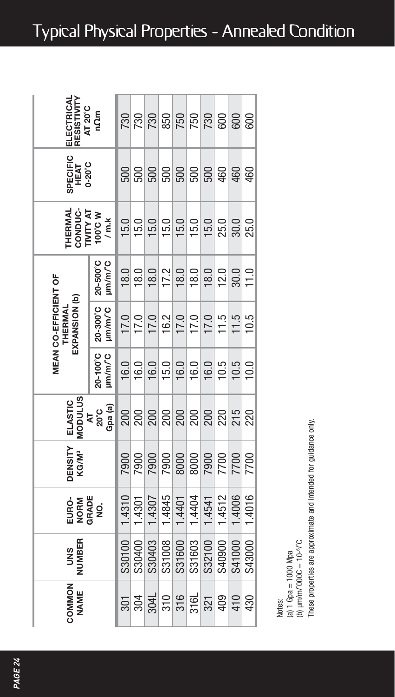| RESISTIVITY<br>ELECTRICAL<br>AT 20°C             | nQm                 |        | 88<br>281           |        | 850    | <b>PRI</b><br>250   |                     |                     | 600                 | 600                 | 600    |
|--------------------------------------------------|---------------------|--------|---------------------|--------|--------|---------------------|---------------------|---------------------|---------------------|---------------------|--------|
| SPECIFIC<br>HEAT<br>0-20°C                       |                     | 500    | 500                 | 500    | 500    | 500                 | 500                 | 500                 | 460                 | 460                 | 460    |
| <b>HERMAL</b><br><b>LIALLAL</b><br>CONDUC-       | N 2,001<br>/ m.k    | 15.0   | 15.0                | 15.0   | 15.0   | $\frac{15.0}{15.0}$ |                     | 15.0                | $25.0$<br>30.0      |                     | 25.0   |
|                                                  | 20-500°C<br>ım/m/°C | 18.0   | 18.0                | 18.0   |        | $\frac{17.2}{18.0}$ |                     |                     |                     | $\frac{12.0}{30.0}$ | 11.0   |
| MEAN CO-EFFICIENT OF<br>EXPANSION (b)<br>THERMAL | 20-300°C<br>um/m/°C | 17.0   | $\frac{17.0}{17.0}$ |        | 16.2   |                     | $\frac{17.0}{17.0}$ |                     | $\frac{11.5}{11.5}$ |                     | 10.5   |
|                                                  | 20-100°C<br>Im/m/°C | 16.0   | 16.0                | 16.0   | 15.0   | 16.0                | 16.0                | 16.0                | 10.5                | 10.5                | 10.0   |
| NODULUS<br>ELASTIC                               | Gpa (a)<br>20°C     | 200    | 200                 | 200    | 200    | 200                 | 200                 | 200                 |                     | $\frac{220}{215}$   | 220    |
| <b>DENSITY</b><br>KG/M <sup>3</sup>              |                     | 7900   | 7900                | 7900   | 7900   |                     |                     | 000<br>0008<br>0008 | 7700                |                     | 700    |
| EURO-<br>NORM<br>GRADE                           | g                   | 1.4310 | 1.4301              | 1.4307 | 1.4845 | 1.4401              | 1.4404              | 1.4541              | 1.4512              | 1.4006              | 1,4016 |
| NUMBER<br><b>SND</b>                             |                     | S30100 | S30400              | S30403 | S31008 | S31600              | S31603              | S32100              | S40900              | S41000              | S43000 |
| COMMON<br>NAME                                   |                     | 301    | 304                 | 304L   | 310    | 316                 | 316L                | 321                 | 409                 | 410                 | 430    |

These properties are approximate and intended for guidance only. Notes:<br>(a) 1 Gpa = 1000 Mpa<br>(a) 1 Gpa = 1000 Mpa<br>These properties are approximate and intended for guidance only.

(a) 1 Gpa = 1000 Mpa<br>(b)  $\mu$ m/m/000C = 10-<sup>s</sup>/C Notes:

**Typical Physical Properties - Annealed Condition**

*PAGE 24*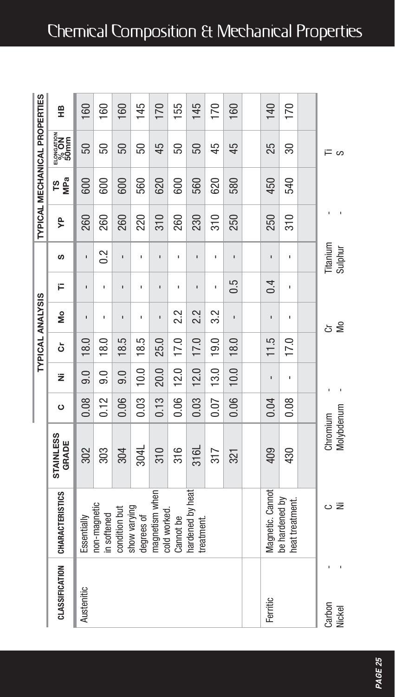## Chemical Composition & Mechanical Properties

|                       |                                   |                        |         |                  | <b>TYPICAL ANALYSIS</b> |                |              |                     |                 |            | TYPICAL MECHANICAL PROPERTIES |           |
|-----------------------|-----------------------------------|------------------------|---------|------------------|-------------------------|----------------|--------------|---------------------|-----------------|------------|-------------------------------|-----------|
| <b>CLASSIFICATION</b> | <b>CHARACTERISTICS</b>            | STAINLESS<br>GRADE     | $\circ$ | ž                | ò                       | å              | Ë            | S                   | ይ               | MPa<br>ဖို | $\frac{60000000}{500000}$     | 띞         |
| Austenitic            | Essentially                       | 302                    | 0.08    | 0.0              | 18.0                    | ï              | ï            | ı                   | 260             | 600        | 50                            | 160       |
|                       | non-magnetic<br>in softened       | 303                    | 0.12    | $\overline{9.0}$ | 18.0                    | ï              | ï            | 0.2                 | 260             | 600        | 50                            | <b>GO</b> |
|                       | condition but                     | 304                    | 0.06    | 0.0              | 18.5                    | ı              | ï            | ı                   | 260             | 600        | 50                            | 160       |
|                       | show varying<br>degrees of        | 304L                   | 0.03    | 10.0             | 18.5                    | ı              | ï            | ı                   | 220             | 560        | 50                            | 145       |
|                       | magnetism when<br>cold worked.    | 310                    | 0.13    | 20.0             | 25.0                    | $\blacksquare$ | $\mathbf{I}$ | $\blacksquare$      | 310             | 620        | 45                            | 170       |
|                       | Cannot be                         | 316                    | 0.06    | 12.0             | 17.0                    | 2.2            | ï            | ı                   | 260             | 600        | 50                            | 155       |
|                       | hardened by heat<br>treatment.    | 316L                   | 0.03    | 12.0             | 17.0                    | 2.2            | ï            | ı                   | 230             | 560        | 50                            | 145       |
|                       |                                   | 317                    | 0.07    | 13.0             | 19.0                    | 3.2            | ï            | ı                   | $\frac{310}{5}$ | 620        | 45                            | 170       |
|                       |                                   | 321                    | 0.06    | 10.0             | 18.0                    | ï              | 0.5          | $\blacksquare$      | 250             | 580        | 45                            | 160       |
|                       |                                   |                        |         |                  |                         |                |              |                     |                 |            |                               |           |
| Ferritic              | Magnetic. Cannot                  | 409                    | 0.04    | ı                | 11.5                    | ı              | 0.4          | ı                   | 250             | 450        | 25                            | 140       |
|                       | be hardened by<br>heat treatment. | 430                    | 0.08    | ı                | 17.0                    | $\blacksquare$ | ï            | ı                   | $\frac{310}{5}$ | 540        | 80                            | 170       |
|                       |                                   |                        |         |                  |                         |                |              |                     |                 |            |                               |           |
| Carbon<br>Nickel      | oΞ                                | Molybdenum<br>Chromium |         |                  |                         | δ<br>ŏ         |              | Titanium<br>Sulphur |                 |            | ≔ ∽                           |           |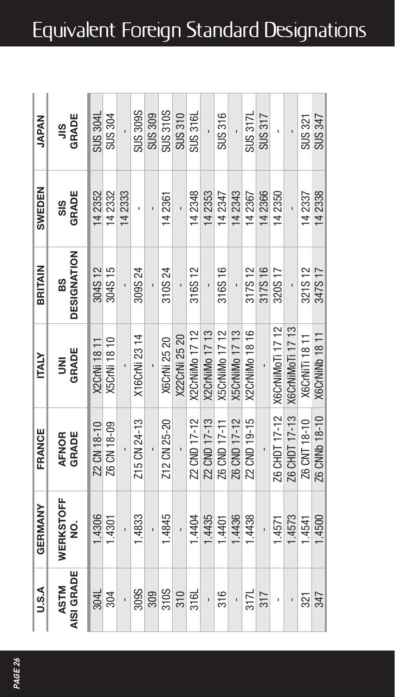| <b>DESIGNATION</b><br><b>BRITAIN</b><br>304S12<br>88<br>GRADE<br><b>ITALY</b><br>ξ<br>FRANCE |
|----------------------------------------------------------------------------------------------|
| 304S15<br><b>X5CrNi 18 10</b><br><b>X2CrNi 1811</b><br>Z2 CN 18-10<br>Z6 CN 18-09            |
|                                                                                              |
| 309S 24<br>X16CrNi 23 14<br>Z15 CN 24-13                                                     |
|                                                                                              |
| 310S24<br><b>X6CrNi 25 20</b><br>Z12 CN 25-20                                                |
| X22CrNi 25 20                                                                                |
| 316S12<br>X2CrNiMo 17 12<br>Z2 CND 17-12                                                     |
| <b>X2CrNiMo 17 13</b><br>Z2 CND 17-13                                                        |
| 316S16<br>X5CrNiMo 17 12<br>Z6 CND 17-11                                                     |
| X5CrNiMo 17 13<br>Z6 CND 17-12                                                               |
| 317S12<br><b>X2CrNiMo 18 16</b><br>Z2 CND 19-15                                              |
| 317S 16                                                                                      |
| 320S 17<br>X6CrNiMoTi 17 12<br>Z6 CHDT 17-12                                                 |
| X6CrNiMoTi 17 13<br>Z6 CHDT 17-13                                                            |
| 321S12<br>X6CrNiTi 18 11<br>Z6 CNT 18-10                                                     |
| 347S 17<br><b>X6CrNiNb 18 11</b><br>Z6 CNNb 18-10                                            |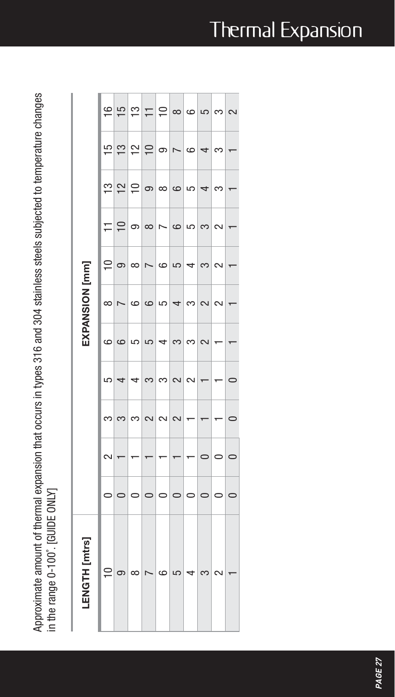Approximate amount of thermal expansion that occurs in types 316 and 304 stainless steels subjected to temperature changes Approximate amount of thermal expansion that occurs in types 316 and 304 stainless steels subjected to temperature changes in the range 0-100°. [GUIDE ONLY] in the range 0-100˚. [GUIDE ONLY]

| [mtrs]<br>ENGTH |           |   |         |         |          | EXPANSION [mm]           |          |                |                |                |          |
|-----------------|-----------|---|---------|---------|----------|--------------------------|----------|----------------|----------------|----------------|----------|
| ≘               | $\circ$   | 2 | 3       | 5       | 6        | $\infty$                 | 의        | 는              |                | 의              |          |
|                 |           |   | က       | 4       | $\circ$  | $\overline{ }$           | ၜ        | $\supseteq$    |                |                |          |
| ന               |           |   | က       | 4       | 5        | $\circ$                  | $\infty$ | 9              | ഇ ല $\log$ ച   | ഇ ല ≘∣െ        | 부부부부     |
|                 |           |   | $\sim$  | ൚       | 5        | $\circ$                  | N        | $\infty$       |                |                |          |
| CO              | $\subset$ |   | $\sim$  | ൚       | ᆗ        | 5                        | 6        | $\overline{ }$ | ထ              |                |          |
| LO              |           |   | $\sim$  | 2       | $\infty$ | $\overline{\phantom{a}}$ | 5        | $\circ$        | $\circ$        | $\overline{ }$ | $\infty$ |
| 4               |           |   | ۳       | $\sim$  | က        | က                        | 4        | 5              | 5              | అ              | $\circ$  |
|                 |           |   |         |         | $\sim$   | $\sim$                   |          | က              | $\overline{ }$ | $\overline{a}$ | 5        |
|                 |           |   |         |         |          | $\sim$                   | ¢        | $\sim$         | ന              | က              | $\infty$ |
|                 |           |   | $\circ$ | $\circ$ |          |                          |          |                |                |                | $\sim$   |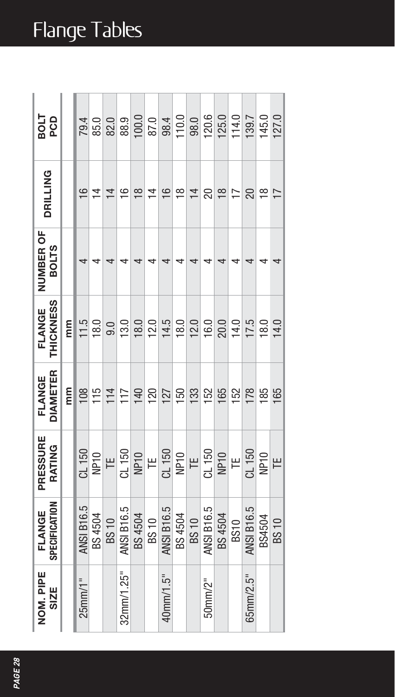# Flange Tables

| 925<br>Lios                |    |                   |                     | 79.0<br>85.0<br>82.0 |               | 88.9             |                | $\begin{array}{c} 0.06 \\ 0.01 \\ 0.01 \\ 0.01 \\ \hline \end{array}$ |                |                            | 120.6             | 125.0               | 114.0                    | 139.7             | 145.0          | <b>127.0</b>   |
|----------------------------|----|-------------------|---------------------|----------------------|---------------|------------------|----------------|-----------------------------------------------------------------------|----------------|----------------------------|-------------------|---------------------|--------------------------|-------------------|----------------|----------------|
| <b>DRILLING</b>            |    | $\frac{1}{2}$     | $\overline{4}$      | $\overline{4}$       | $\frac{6}{1}$ | $\frac{8}{10}$   | $\overline{4}$ | $\frac{6}{5}$                                                         | $\frac{8}{10}$ | $\overline{4}$             | 20                | $\frac{8}{18}$      | $\overline{\phantom{0}}$ | 20                | $\frac{8}{10}$ | $\overline{1}$ |
| NUMBER OF<br><b>BOLTS</b>  |    | 4                 |                     |                      |               |                  |                |                                                                       |                |                            |                   |                     |                          |                   |                |                |
| <b>THICKNESS</b><br>FLANGE | mm |                   | $\frac{11.5}{18.0}$ | 9.0                  | 13.0          | 18.0             |                | $\frac{12.5}{14.5}$                                                   |                | 12.0                       | 16.0              | $\frac{20.0}{14.0}$ |                          | 17.5              | 18.0           | 14.0           |
| DIAMETER<br>FLANGE         | E  |                   | $\frac{108}{115}$   | 114                  | 117           | 140              | 120            | 127                                                                   | 150            | 133                        | 152               | 165                 | 152                      | 178               | 185            | 165            |
| PRESSURE<br>RATING         |    | CL 150            | NP <sub>10</sub>    | $\overline{=}$       | CL 150        | NP <sub>10</sub> |                |                                                                       |                | $\frac{TE}{C L 150}$<br>TE | CL 150            | <b>NP10</b>         | $\mathbb{H}$             | CL 150            | NP10           | Ë              |
| SPECIFICATION<br>FLANGE    |    | <b>ANSI B16.5</b> | BS 4504             | <b>BS10</b>          | ANSI B16.5    | BS 4504          | BS 10          | <b>ANSI B16.5</b>                                                     | BS 4504        | <b>BS10</b>                | <b>ANSI B16.5</b> | BS 4504             | <b>BS10</b>              | <b>ANSI B16.5</b> | BS4504         | <b>BS10</b>    |
| NOM. PIPE<br><b>SIZE</b>   |    | $25$ mm $/1"$     |                     |                      | 32mm/1.25"    |                  |                | 40mm/1.5"                                                             |                |                            | $50$ mm/ $2$ "    |                     |                          | $65$ mm $/2.5$ "  |                |                |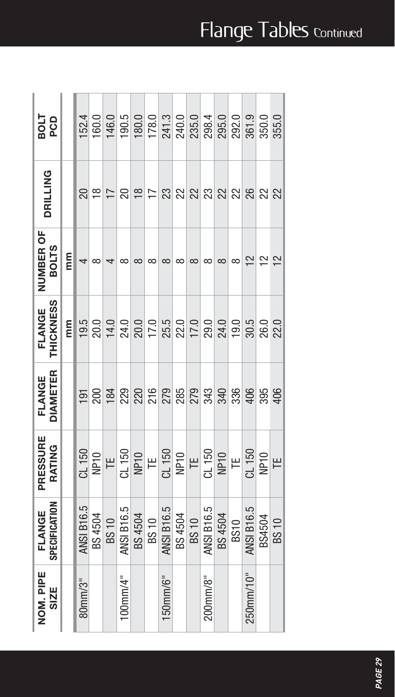| <b>1208</b>                |   | 52.4              | 160.0    | 146.0                                                                                                                                                                                                                                                                                                 | 190.5             |          |                |                   |          | 180.0<br>178.0<br>241.3<br>235.0 | 298.4          | 295.0    | 292.0           | 361.9             | 350.0               |               |
|----------------------------|---|-------------------|----------|-------------------------------------------------------------------------------------------------------------------------------------------------------------------------------------------------------------------------------------------------------------------------------------------------------|-------------------|----------|----------------|-------------------|----------|----------------------------------|----------------|----------|-----------------|-------------------|---------------------|---------------|
| <b>DRILLING</b>            |   |                   | ೫≌       | $\overline{1}$                                                                                                                                                                                                                                                                                        | 20                |          | $\frac{8}{12}$ |                   |          | ន ន ន ន ន ន ន ន ន                |                |          |                 |                   |                     |               |
| NUMBER OF<br><b>BOLTS</b>  | E | 4                 | $\infty$ |                                                                                                                                                                                                                                                                                                       | $\infty$          | $\infty$ | $\infty$       | $\infty$          | $\infty$ | $\infty$                         | $\infty$       | $\infty$ | $\infty$        | $\overline{5}$    | $\frac{2}{3}$       | $\frac{2}{3}$ |
| <b>THICKNESS</b><br>FLANGE | E |                   |          |                                                                                                                                                                                                                                                                                                       |                   |          |                |                   |          |                                  |                |          |                 |                   |                     |               |
| DIAMETER<br>FLANGE         |   |                   |          | $\frac{191}{200}$                                                                                                                                                                                                                                                                                     |                   |          |                |                   |          | 22 22 23 23 24 25                |                |          | $\frac{336}{2}$ |                   | $\frac{406}{395}$   |               |
| PRESSURE<br>RATING         |   | CL 150            |          | $\frac{1}{2}$ $\frac{1}{2}$ $\frac{1}{2}$ $\frac{1}{2}$ $\frac{1}{2}$ $\frac{1}{2}$ $\frac{1}{2}$ $\frac{1}{2}$ $\frac{1}{2}$ $\frac{1}{2}$ $\frac{1}{2}$ $\frac{1}{2}$ $\frac{1}{2}$ $\frac{1}{2}$ $\frac{1}{2}$ $\frac{1}{2}$ $\frac{1}{2}$ $\frac{1}{2}$ $\frac{1}{2}$ $\frac{1}{2}$ $\frac{1}{2}$ |                   |          |                |                   |          |                                  |                |          |                 |                   | $\frac{C1 150}{NE}$ |               |
| SPECIFICATION<br>FLANGE    |   | <b>ANSI B16.5</b> | BS 4504  | BS 10                                                                                                                                                                                                                                                                                                 | <b>ANSI B16.5</b> | BS 4504  | <b>BS10</b>    | <b>ANSI B16.5</b> | BS 4504  | <b>BS10</b>                      | ANSI B16.5     | BS 4504  | <b>BS10</b>     | <b>ANSI B16.5</b> | BS4504              | <b>BS10</b>   |
| NOM. PIPE<br><b>SIZE</b>   |   | $80$ mm $/3"$     |          |                                                                                                                                                                                                                                                                                                       | $100$ mm/4"       |          |                | $150$ mm/ $6"$    |          |                                  | $200$ mm/ $8"$ |          |                 | 250mm/10"         |                     |               |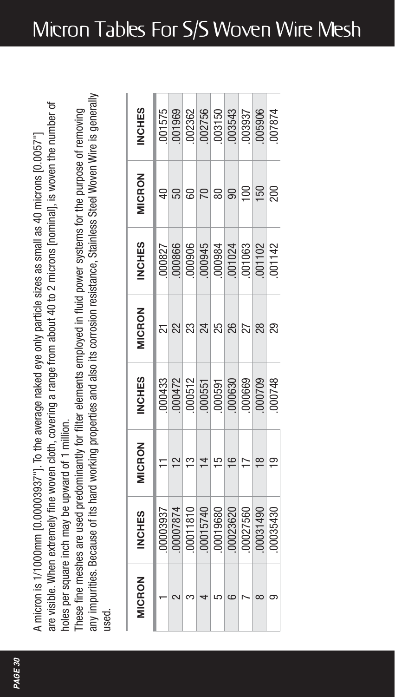are visible. When extremely fine woven cloth, covering a range from about 40 to 2 microns [nominal], is woven the number of are visible. When extremely fine woven cloth, covering a range from about 40 to 2 microns [nominal], is woven the number of A micron is 1/1000mm [0.00003937"]. To the average naked eye only particle sizes as small as 40 microns [0.0057"] A micron is 1/1000mm [0.00003937"]. To the average naked eye only particle sizes as small as 40 microns [0.0057"] holes per square inch may be upward of 1 million. holes per square inch may be upward of 1 million.

any impurities. Because of its hard working properties and also its corrosion resistance, Stainless Steel Woven Wire is generally any impurities. Because of its hard working properties and also its corrosion resistance, Stainless Steel Woven Wire is generally These fine meshes are used predominantly for filter elements employed in fluid power systems for the purpose of removing These fine meshes are used predominantly for filter elements employed in fluid power systems for the purpose of removing used.

| <b>IICRON</b> | <b>SIHON</b>                                                                                                                                 | <b>IICRON</b> | VCHES                                                                                                                                     | <b>IICRON</b> | <b>NCHES</b>                                                         | <b>IICRON</b>    | <b>SSHCHE</b>                                                                                                                                         |
|---------------|----------------------------------------------------------------------------------------------------------------------------------------------|---------------|-------------------------------------------------------------------------------------------------------------------------------------------|---------------|----------------------------------------------------------------------|------------------|-------------------------------------------------------------------------------------------------------------------------------------------------------|
|               |                                                                                                                                              |               |                                                                                                                                           |               |                                                                      |                  |                                                                                                                                                       |
|               |                                                                                                                                              |               |                                                                                                                                           |               |                                                                      |                  |                                                                                                                                                       |
|               | $\begin{array}{l} 00003937 \\ 000007874 \\ 00011810 \\ 00015740 \\ 00015740 \\ 000035420 \\ 00027560 \\ 00027560 \\ 00031490 \\ \end{array}$ |               | $\begin{array}{r} 000433 \\ 000472 \\ 000512 \\ 000551 \\ 000591 \\ 000630 \\ 000630 \\ 000709 \\ 000709 \\ 000709 \\ 000748 \end{array}$ |               | 000827<br>000866<br>000945<br>000945<br>001083<br>0011083<br>0011083 | 60               | $\begin{array}{l} 001575 \\ 001969 \\ 002362 \\ 002756 \\ 003150 \\ 003543 \\ 003364 \\ 003937 \\ 003937 \\ 0003937 \\ 0005906 \\ 007874 \end{array}$ |
|               |                                                                                                                                              |               |                                                                                                                                           |               |                                                                      | $\overline{C}$   |                                                                                                                                                       |
|               |                                                                                                                                              |               |                                                                                                                                           |               |                                                                      | 80               |                                                                                                                                                       |
|               |                                                                                                                                              |               |                                                                                                                                           |               |                                                                      | $\mathbf{S}$     |                                                                                                                                                       |
|               |                                                                                                                                              |               |                                                                                                                                           |               |                                                                      | $\overline{100}$ |                                                                                                                                                       |
|               |                                                                                                                                              |               |                                                                                                                                           |               |                                                                      | 150              |                                                                                                                                                       |
|               |                                                                                                                                              |               |                                                                                                                                           | R,            |                                                                      | 200              |                                                                                                                                                       |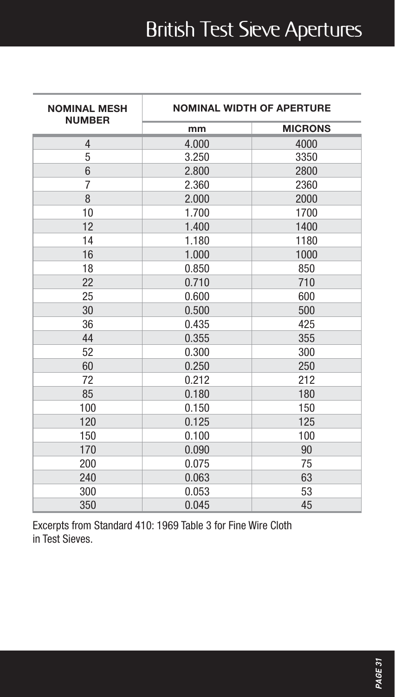## British Test Sieve Apertures

| <b>NOMINAL MESH</b><br><b>NUMBER</b> | <b>NOMINAL WIDTH OF APERTURE</b> |                |  |  |  |
|--------------------------------------|----------------------------------|----------------|--|--|--|
|                                      | mm                               | <b>MICRONS</b> |  |  |  |
| 4                                    | 4.000                            | 4000           |  |  |  |
| 5                                    | 3.250                            | 3350           |  |  |  |
| $6\phantom{1}$                       | 2.800                            | 2800           |  |  |  |
| 7                                    | 2.360                            | 2360           |  |  |  |
| 8                                    | 2.000                            | 2000           |  |  |  |
| 10                                   | 1.700                            | 1700           |  |  |  |
| 12                                   | 1.400                            | 1400           |  |  |  |
| 14                                   | 1.180                            | 1180           |  |  |  |
| 16                                   | 1.000                            | 1000           |  |  |  |
| 18                                   | 0.850                            | 850            |  |  |  |
| 22                                   | 0.710                            | 710            |  |  |  |
| 25                                   | 0.600                            | 600            |  |  |  |
| 30                                   | 0.500                            | 500            |  |  |  |
| 36                                   | 0.435                            | 425            |  |  |  |
| 44                                   | 0.355                            | 355            |  |  |  |
| 52                                   | 0.300                            | 300            |  |  |  |
| 60                                   | 0.250                            | 250            |  |  |  |
| 72                                   | 0.212                            | 212            |  |  |  |
| 85                                   | 0.180                            | 180            |  |  |  |
| 100                                  | 0.150                            | 150            |  |  |  |
| 120                                  | 0.125                            | 125            |  |  |  |
| 150                                  | 0.100                            | 100            |  |  |  |
| 170                                  | 0.090                            | 90             |  |  |  |
| 200                                  | 0.075                            | 75             |  |  |  |
| 240                                  | 0.063                            | 63             |  |  |  |
| 300                                  | 0.053                            | 53             |  |  |  |
| 350                                  | 0.045                            | 45             |  |  |  |

Excerpts from Standard 410: 1969 Table 3 for Fine Wire Cloth in Test Sieves.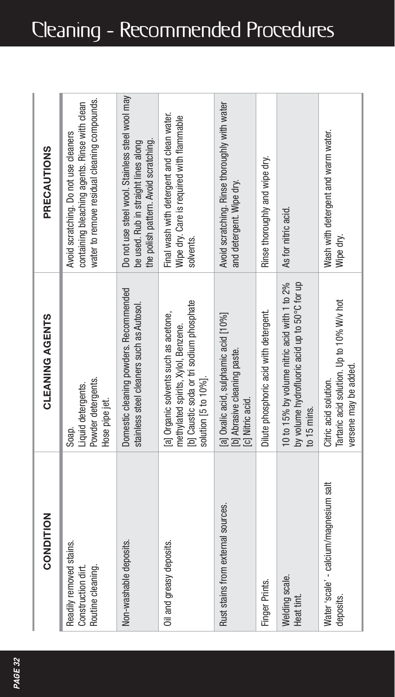|  | Cleaning - Recommended Procedures |  |
|--|-----------------------------------|--|
|--|-----------------------------------|--|

| CONDITION                                                          | CLEANING AGENTS                                                                                                                                | PRECAUTIONS                                                                                                                            |
|--------------------------------------------------------------------|------------------------------------------------------------------------------------------------------------------------------------------------|----------------------------------------------------------------------------------------------------------------------------------------|
| Readily removed stains.<br>Construction dirt.<br>Routine cleaning. | Powder detergents.<br>Liquid detergents.<br>Hose pipe jet.<br>Soap.                                                                            | water to remove residual cleaning compounds.<br>containing bleaching agents. Rinse with clean<br>Avoid scratching. Do not use cleaners |
| Non-washable deposits.                                             | Domestic cleaning powders. Recommended<br>stainless steel cleaners such as Autosol.                                                            | Do not use steel wool. Stainless steel wool may<br>the polish pattern. Avoid scratching.<br>be used. Rub in straight lines along       |
| Oil and greasy deposits.                                           | b] Caustic soda or tri sodium phosphate<br>a] Organic solvents such as acetone,<br>methylated spirits, Xylol, Benzene.<br>solution [5 to 10%]. | Final wash with detergent and clean water.<br>Wipe dry. Care is required with flammable<br>solvents.                                   |
| Rust stains from external sources.                                 | a] Oxalic acid, sulphamic acid [10%]<br>[b] Abrasive cleaning paste.<br>[c] Nitric acid.                                                       | Avoid scratching. Rinse thoroughly with water<br>and detergent. Wipe dry.                                                              |
| Finger Prints.                                                     | Dilute phosphoric acid with detergent.                                                                                                         | Rinse thoroughly and wipe dry.                                                                                                         |
| Welding scale.<br>Heat tint                                        | 10 to 15% by volume nitric acid with 1 to 2%<br>by volume hydrofluoric acid up to 50°C for up<br>to 15 mins                                    | As for nitric acid.                                                                                                                    |
| Water 'scale' - calcium/magnesium salt<br>deposits.                | Tartaric acid solution. Up to 10% W/v hot<br>versene may be added.<br>Citric acid solution.                                                    | Wash with detergent and warm water.<br>Wipe dry.                                                                                       |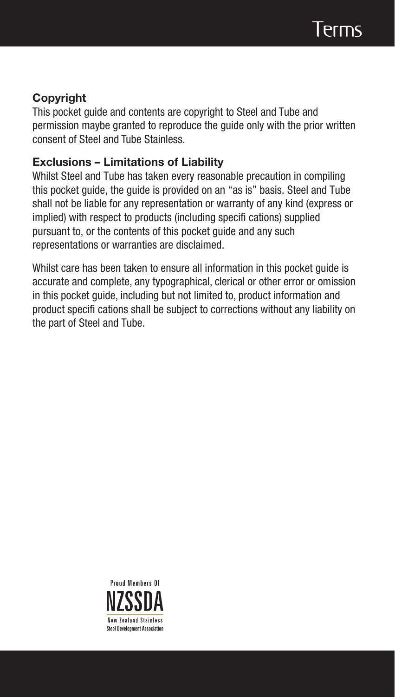#### **Copyright**

This pocket guide and contents are copyright to Steel and Tube and permission maybe granted to reproduce the guide only with the prior written consent of Steel and Tube Stainless.

#### **Exclusions – Limitations of Liability**

Whilst Steel and Tube has taken every reasonable precaution in compiling this pocket guide, the guide is provided on an "as is" basis. Steel and Tube shall not be liable for any representation or warranty of any kind (express or implied) with respect to products (including specifi cations) supplied pursuant to, or the contents of this pocket guide and any such representations or warranties are disclaimed.

Whilst care has been taken to ensure all information in this pocket guide is accurate and complete, any typographical, clerical or other error or omission in this pocket guide, including but not limited to, product information and product specifi cations shall be subject to corrections without any liability on the part of Steel and Tube.